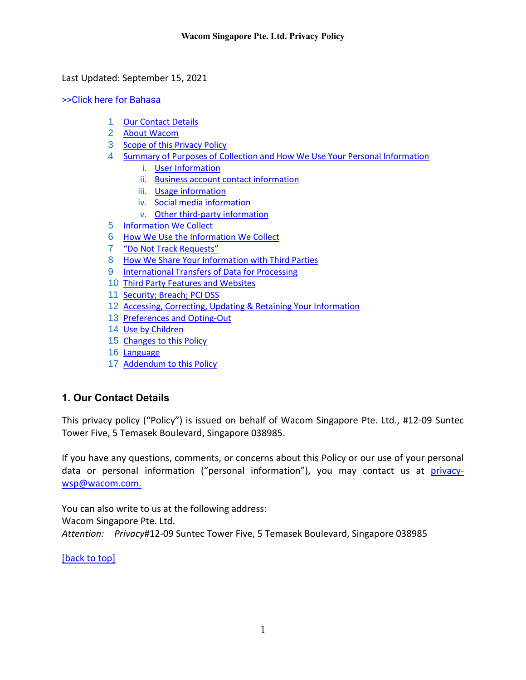<span id="page-0-1"></span>Last Updated: September 15, 2021

[>>Click here for Bahasa](#page-19-0)

- 1 [Our Contact Details](#page-0-0)
- 2 [About Wacom](#page-1-0)
- 3 [Scope of this Privacy Policy](#page-1-1)
- 4 [Summary of Purposes of Collection and How We Use Your Personal Information](#page-2-0)
	- i. [User Information](#page-2-1)
	- ii. [Business account contact information](#page-2-2)
	- iii. [Usage information](#page-2-3)
	- iv. [Social media information](#page-2-4)
	- v. [Other third-party information](#page-3-0)
- 5 [Information We Collect](#page-3-1)
- 6 [How We Use the Information We Collect](#page-6-0)
- 7 ["Do Not Track Requests"](#page-8-0)
- 8 [How We Share Your Information with Third Parties](#page-8-1)
- 9 [International Transfers of Data for Processing](#page-10-0)
- 10 [Third Party Features and Websites](#page-11-0)
- 11 [Security; Breach; PCI DSS](#page-11-1)
- 12 [Accessing, Correcting, Updating & Retaining Your Information](#page-12-0)
- 13 [Preferences and Opting-Out](#page-13-0)
- 14 [Use by Children](#page-13-1)
- 15 [Changes to this Policy](#page-13-2)
- 16 [Language](#page-14-0)
- 17 [Addendum to this Policy](#page-14-1)

# <span id="page-0-0"></span>**1. Our Contact Details**

This privacy policy ("Policy") is issued on behalf of Wacom Singapore Pte. Ltd., #12-09 Suntec Tower Five, 5 Temasek Boulevard, Singapore 038985.

If you have any questions, comments, or concerns about this Policy or our use of your personal data or personal information ("personal information"), you may contact us at [privacy](mailto:privacy-wsp@wacom.com)[wsp@wacom.com.](mailto:privacy-wsp@wacom.com)

You can also write to us at the following address: Wacom Singapore Pte. Ltd. *Attention: Privacy*#12-09 Suntec Tower Five, 5 Temasek Boulevard, Singapore 038985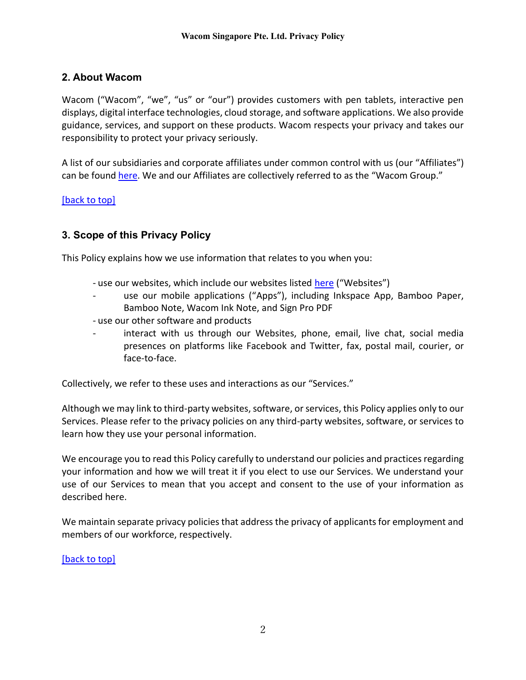# <span id="page-1-0"></span>**2. About Wacom**

Wacom ("Wacom", "we", "us" or "our") provides customers with pen tablets, interactive pen displays, digital interface technologies, cloud storage, and software applications. We also provide guidance, services, and support on these products. Wacom respects your privacy and takes our responsibility to protect your privacy seriously.

A list of our subsidiaries and corporate affiliates under common control with us (our "Affiliates") can be found [here.](https://www.wacom.com/about-wacom) We and our Affiliates are collectively referred to as the "Wacom Group."

## [\[back to top\]](#page-0-1)

# <span id="page-1-1"></span>**3. Scope of this Privacy Policy**

This Policy explains how we use information that relates to you when you:

- use our websites, which include our websites listed [here](https://www.wacom.com/websites) ("Websites")
- use our mobile applications ("Apps"), including Inkspace App, Bamboo Paper, Bamboo Note, Wacom Ink Note, and Sign Pro PDF
- use our other software and products
- interact with us through our Websites, phone, email, live chat, social media presences on platforms like Facebook and Twitter, fax, postal mail, courier, or face-to-face.

Collectively, we refer to these uses and interactions as our "Services."

Although we may link to third-party websites, software, or services, this Policy applies only to our Services. Please refer to the privacy policies on any third-party websites, software, or services to learn how they use your personal information.

We encourage you to read this Policy carefully to understand our policies and practices regarding your information and how we will treat it if you elect to use our Services. We understand your use of our Services to mean that you accept and consent to the use of your information as described here.

We maintain separate privacy policies that address the privacy of applicants for employment and members of our workforce, respectively.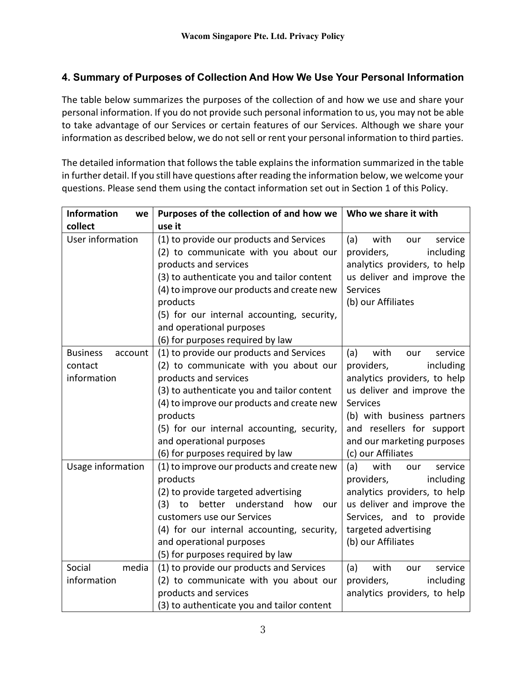# <span id="page-2-0"></span>**4. Summary of Purposes of Collection And How We Use Your Personal Information**

The table below summarizes the purposes of the collection of and how we use and share your personal information. If you do not provide such personal information to us, you may not be able to take advantage of our Services or certain features of our Services. Although we share your information as described below, we do not sell or rent your personal information to third parties.

The detailed information that follows the table explains the information summarized in the table in further detail. If you still have questions after reading the information below, we welcome your questions. Please send them using the contact information set out in Section 1 of this Policy.

<span id="page-2-4"></span><span id="page-2-3"></span><span id="page-2-2"></span><span id="page-2-1"></span>

| <b>Information</b><br>we   | Purposes of the collection of and how we        | Who we share it with          |
|----------------------------|-------------------------------------------------|-------------------------------|
| collect                    | use it                                          |                               |
| User information           | (1) to provide our products and Services        | (a)<br>with<br>service<br>our |
|                            | (2) to communicate with you about our           | providers,<br>including       |
|                            | products and services                           | analytics providers, to help  |
|                            | (3) to authenticate you and tailor content      | us deliver and improve the    |
|                            | (4) to improve our products and create new      | Services                      |
|                            | products                                        | (b) our Affiliates            |
|                            | (5) for our internal accounting, security,      |                               |
|                            | and operational purposes                        |                               |
|                            | (6) for purposes required by law                |                               |
| <b>Business</b><br>account | (1) to provide our products and Services        | (a)<br>with<br>service<br>our |
| contact                    | (2) to communicate with you about our           | including<br>providers,       |
| information                | products and services                           | analytics providers, to help  |
|                            | (3) to authenticate you and tailor content      | us deliver and improve the    |
|                            | (4) to improve our products and create new      | <b>Services</b>               |
|                            | products                                        | (b) with business partners    |
|                            | (5) for our internal accounting, security,      | and resellers for support     |
|                            | and operational purposes                        | and our marketing purposes    |
|                            | (6) for purposes required by law                | (c) our Affiliates            |
| Usage information          | (1) to improve our products and create new      | (a)<br>with<br>service<br>our |
|                            | products                                        | including<br>providers,       |
|                            | (2) to provide targeted advertising             | analytics providers, to help  |
|                            | (3)<br>better<br>understand<br>to<br>how<br>our | us deliver and improve the    |
|                            | customers use our Services                      | Services, and to provide      |
|                            | (4) for our internal accounting, security,      | targeted advertising          |
|                            | and operational purposes                        | (b) our Affiliates            |
|                            | (5) for purposes required by law                |                               |
| Social<br>media            | (1) to provide our products and Services        | (a)<br>with<br>service<br>our |
| information                | (2) to communicate with you about our           | including<br>providers,       |
|                            | products and services                           | analytics providers, to help  |
|                            | (3) to authenticate you and tailor content      |                               |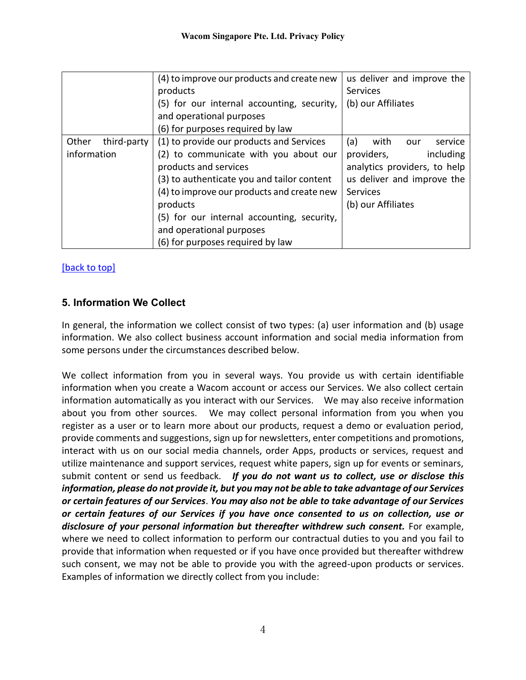<span id="page-3-0"></span>

|             |             | (4) to improve our products and create new | us deliver and improve the    |
|-------------|-------------|--------------------------------------------|-------------------------------|
|             |             | products                                   | <b>Services</b>               |
|             |             | (5) for our internal accounting, security, | (b) our Affiliates            |
|             |             | and operational purposes                   |                               |
|             |             | (6) for purposes required by law           |                               |
| Other       | third-party | (1) to provide our products and Services   | (a)<br>with<br>service<br>our |
| information |             | (2) to communicate with you about our      | including<br>providers,       |
|             |             | products and services                      | analytics providers, to help  |
|             |             | (3) to authenticate you and tailor content | us deliver and improve the    |
|             |             | (4) to improve our products and create new | <b>Services</b>               |
|             |             | products                                   | (b) our Affiliates            |
|             |             | (5) for our internal accounting, security, |                               |
|             |             | and operational purposes                   |                               |
|             |             | (6) for purposes required by law           |                               |

[\[back to top\]](#page-0-1)

# <span id="page-3-1"></span>**5. Information We Collect**

In general, the information we collect consist of two types: (a) user information and (b) usage information. We also collect business account information and social media information from some persons under the circumstances described below.

We collect information from you in several ways. You provide us with certain identifiable information when you create a Wacom account or access our Services. We also collect certain information automatically as you interact with our Services. We may also receive information about you from other sources. We may collect personal information from you when you register as a user or to learn more about our products, request a demo or evaluation period, provide comments and suggestions, sign up for newsletters, enter competitions and promotions, interact with us on our social media channels, order Apps, products or services, request and utilize maintenance and support services, request white papers, sign up for events or seminars, submit content or send us feedback. *If you do not want us to collect, use or disclose this information, please do not provide it, but you may not be able to take advantage of our Services or certain features of our Services*. *You may also not be able to take advantage of our Services or certain features of our Services if you have once consented to us on collection, use or disclosure of your personal information but thereafter withdrew such consent.* For example, where we need to collect information to perform our contractual duties to you and you fail to provide that information when requested or if you have once provided but thereafter withdrew such consent, we may not be able to provide you with the agreed-upon products or services. Examples of information we directly collect from you include: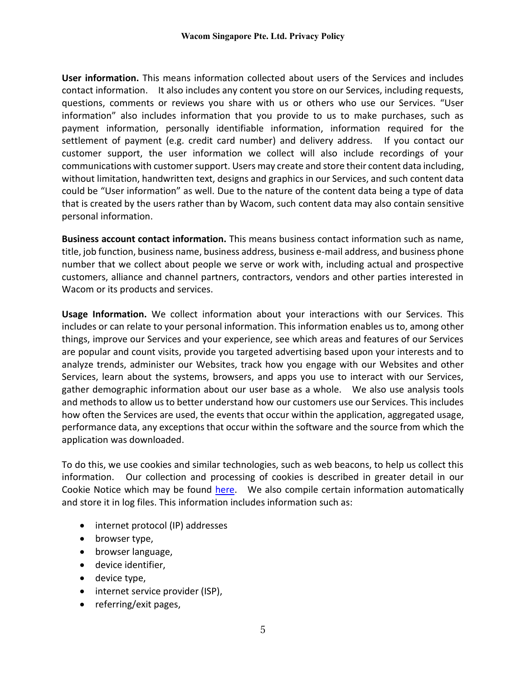**User information.** This means information collected about users of the Services and includes contact information. It also includes any content you store on our Services, including requests, questions, comments or reviews you share with us or others who use our Services. "User information" also includes information that you provide to us to make purchases, such as payment information, personally identifiable information, information required for the settlement of payment (e.g. credit card number) and delivery address. If you contact our customer support, the user information we collect will also include recordings of your communications with customer support. Users may create and store their content data including, without limitation, handwritten text, designs and graphics in our Services, and such content data could be "User information" as well. Due to the nature of the content data being a type of data that is created by the users rather than by Wacom, such content data may also contain sensitive personal information.

**Business account contact information.** This means business contact information such as name, title, job function, business name, business address, business e-mail address, and business phone number that we collect about people we serve or work with, including actual and prospective customers, alliance and channel partners, contractors, vendors and other parties interested in Wacom or its products and services.

**Usage Information.** We collect information about your interactions with our Services. This includes or can relate to your personal information. This information enables us to, among other things, improve our Services and your experience, see which areas and features of our Services are popular and count visits, provide you targeted advertising based upon your interests and to analyze trends, administer our Websites, track how you engage with our Websites and other Services, learn about the systems, browsers, and apps you use to interact with our Services, gather demographic information about our user base as a whole. We also use analysis tools and methods to allow us to better understand how our customers use our Services. This includes how often the Services are used, the events that occur within the application, aggregated usage, performance data, any exceptions that occur within the software and the source from which the application was downloaded.

To do this, we use cookies and similar technologies, such as web beacons, to help us collect this information. Our collection and processing of cookies is described in greater detail in our Cookie Notice which may be found [here.](https://www.wacom.com/en-sg/cookie-notice) We also compile certain information automatically and store it in log files. This information includes information such as:

- internet protocol (IP) addresses
- browser type,
- browser language,
- device identifier,
- device type,
- internet service provider (ISP),
- referring/exit pages,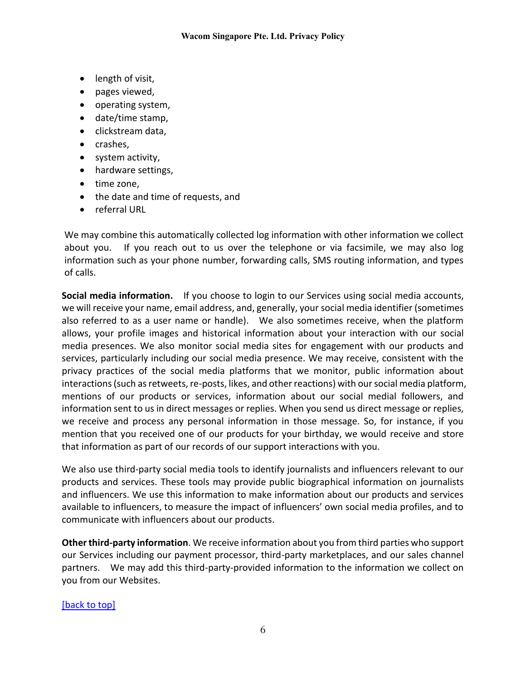- length of visit,
- pages viewed,
- operating system,
- date/time stamp,
- clickstream data,
- crashes,
- system activity,
- hardware settings,
- time zone,
- the date and time of requests, and
- referral URL

We may combine this automatically collected log information with other information we collect about you. If you reach out to us over the telephone or via facsimile, we may also log information such as your phone number, forwarding calls, SMS routing information, and types of calls.

**Social media information.** If you choose to login to our Services using social media accounts, we will receive your name, email address, and, generally, your social media identifier (sometimes also referred to as a user name or handle). We also sometimes receive, when the platform allows, your profile images and historical information about your interaction with our social media presences. We also monitor social media sites for engagement with our products and services, particularly including our social media presence. We may receive, consistent with the privacy practices of the social media platforms that we monitor, public information about interactions (such as retweets, re-posts, likes, and other reactions) with our social media platform, mentions of our products or services, information about our social medial followers, and information sent to us in direct messages or replies. When you send us direct message or replies, we receive and process any personal information in those message. So, for instance, if you mention that you received one of our products for your birthday, we would receive and store that information as part of our records of our support interactions with you.

We also use third-party social media tools to identify journalists and influencers relevant to our products and services. These tools may provide public biographical information on journalists and influencers. We use this information to make information about our products and services available to influencers, to measure the impact of influencers' own social media profiles, and to communicate with influencers about our products.

**Other third-party information**. We receive information about you from third parties who support our Services including our payment processor, third-party marketplaces, and our sales channel partners. We may add this third-party-provided information to the information we collect on you from our Websites.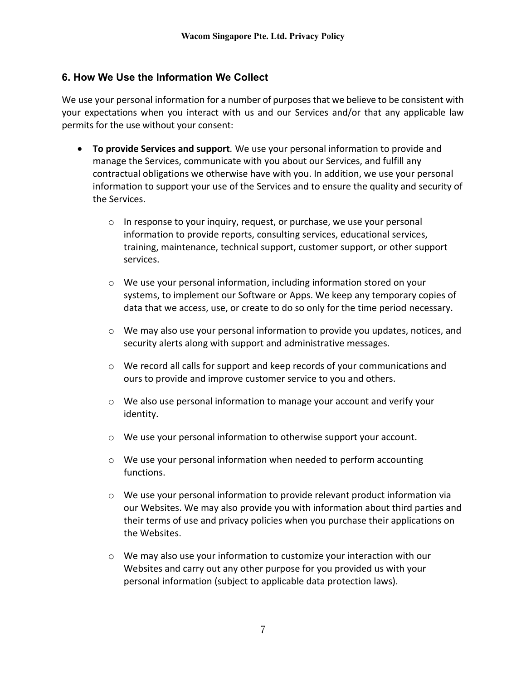# <span id="page-6-0"></span>**6. How We Use the Information We Collect**

We use your personal information for a number of purposes that we believe to be consistent with your expectations when you interact with us and our Services and/or that any applicable law permits for the use without your consent:

- **To provide Services and support***.* We use your personal information to provide and manage the Services, communicate with you about our Services, and fulfill any contractual obligations we otherwise have with you. In addition, we use your personal information to support your use of the Services and to ensure the quality and security of the Services.
	- o In response to your inquiry, request, or purchase, we use your personal information to provide reports, consulting services, educational services, training, maintenance, technical support, customer support, or other support services.
	- o We use your personal information, including information stored on your systems, to implement our Software or Apps. We keep any temporary copies of data that we access, use, or create to do so only for the time period necessary.
	- $\circ$  We may also use your personal information to provide you updates, notices, and security alerts along with support and administrative messages.
	- $\circ$  We record all calls for support and keep records of your communications and ours to provide and improve customer service to you and others.
	- $\circ$  We also use personal information to manage your account and verify your identity.
	- $\circ$  We use your personal information to otherwise support your account.
	- $\circ$  We use your personal information when needed to perform accounting functions.
	- o We use your personal information to provide relevant product information via our Websites. We may also provide you with information about third parties and their terms of use and privacy policies when you purchase their applications on the Websites.
	- $\circ$  We may also use your information to customize your interaction with our Websites and carry out any other purpose for you provided us with your personal information (subject to applicable data protection laws).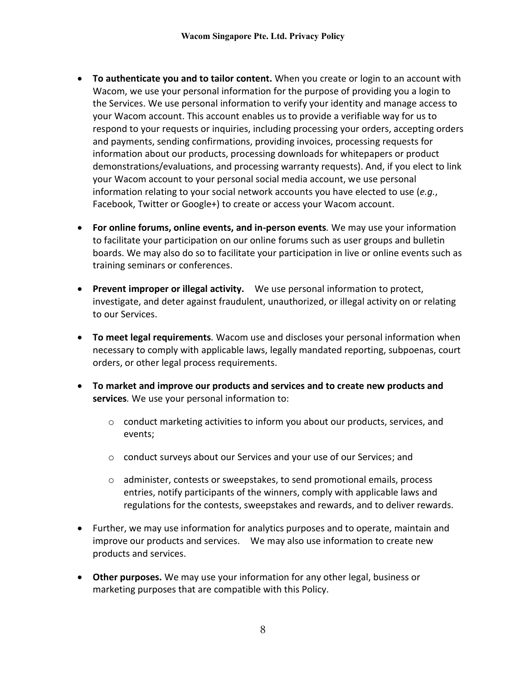- **To authenticate you and to tailor content.** When you create or login to an account with Wacom, we use your personal information for the purpose of providing you a login to the Services. We use personal information to verify your identity and manage access to your Wacom account. This account enables us to provide a verifiable way for us to respond to your requests or inquiries, including processing your orders, accepting orders and payments, sending confirmations, providing invoices, processing requests for information about our products, processing downloads for whitepapers or product demonstrations/evaluations, and processing warranty requests). And, if you elect to link your Wacom account to your personal social media account, we use personal information relating to your social network accounts you have elected to use (*e.g.*, Facebook, Twitter or Google+) to create or access your Wacom account.
- **For online forums, online events, and in-person events***.* We may use your information to facilitate your participation on our online forums such as user groups and bulletin boards. We may also do so to facilitate your participation in live or online events such as training seminars or conferences.
- **Prevent improper or illegal activity.** We use personal information to protect, investigate, and deter against fraudulent, unauthorized, or illegal activity on or relating to our Services.
- **To meet legal requirements***.* Wacom use and discloses your personal information when necessary to comply with applicable laws, legally mandated reporting, subpoenas, court orders, or other legal process requirements.
- **To market and improve our products and services and to create new products and services***.* We use your personal information to:
	- $\circ$  conduct marketing activities to inform you about our products, services, and events;
	- o conduct surveys about our Services and your use of our Services; and
	- $\circ$  administer, contests or sweepstakes, to send promotional emails, process entries, notify participants of the winners, comply with applicable laws and regulations for the contests, sweepstakes and rewards, and to deliver rewards.
- Further, we may use information for analytics purposes and to operate, maintain and improve our products and services. We may also use information to create new products and services.
- **Other purposes.** We may use your information for any other legal, business or marketing purposes that are compatible with this Policy.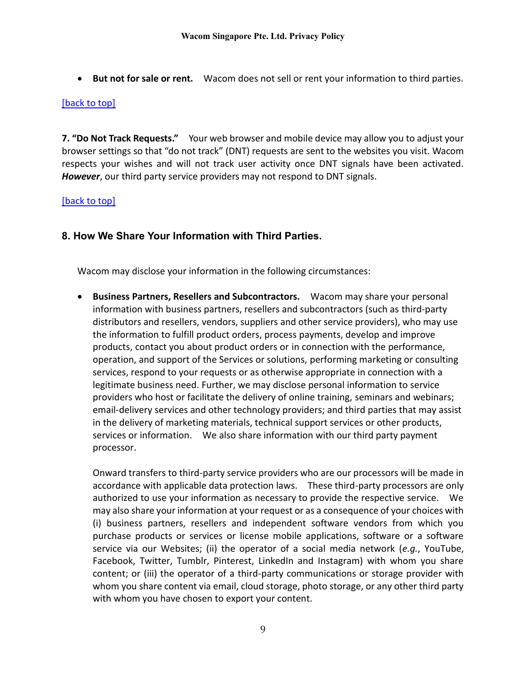• **But not for sale or rent.** Wacom does not sell or rent your information to third parties.

### [\[back to top\]](#page-0-1)

<span id="page-8-0"></span>**7. "Do Not Track Requests."** Your web browser and mobile device may allow you to adjust your browser settings so that "do not track" (DNT) requests are sent to the websites you visit. Wacom respects your wishes and will not track user activity once DNT signals have been activated. *However*, our third party service providers may not respond to DNT signals.

### [\[back to top\]](#page-0-1)

# <span id="page-8-1"></span>**8. How We Share Your Information with Third Parties.**

Wacom may disclose your information in the following circumstances:

• **Business Partners, Resellers and Subcontractors.** Wacom may share your personal information with business partners, resellers and subcontractors (such as third-party distributors and resellers, vendors, suppliers and other service providers), who may use the information to fulfill product orders, process payments, develop and improve products, contact you about product orders or in connection with the performance, operation, and support of the Services or solutions, performing marketing or consulting services, respond to your requests or as otherwise appropriate in connection with a legitimate business need. Further, we may disclose personal information to service providers who host or facilitate the delivery of online training, seminars and webinars; email-delivery services and other technology providers; and third parties that may assist in the delivery of marketing materials, technical support services or other products, services or information. We also share information with our third party payment processor.

Onward transfers to third-party service providers who are our processors will be made in accordance with applicable data protection laws. These third-party processors are only authorized to use your information as necessary to provide the respective service. We may also share your information at your request or as a consequence of your choices with (i) business partners, resellers and independent software vendors from which you purchase products or services or license mobile applications, software or a software service via our Websites; (ii) the operator of a social media network (*e.g.*, YouTube, Facebook, Twitter, Tumblr, Pinterest, LinkedIn and Instagram) with whom you share content; or (iii) the operator of a third-party communications or storage provider with whom you share content via email, cloud storage, photo storage, or any other third party with whom you have chosen to export your content.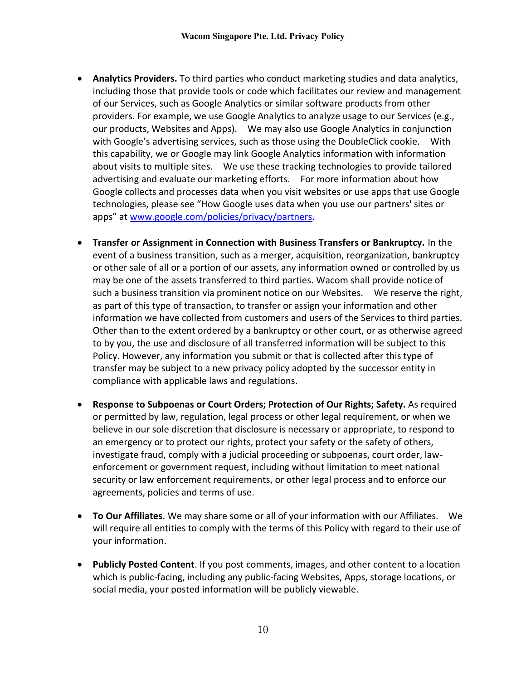- **Analytics Providers.** To third parties who conduct marketing studies and data analytics, including those that provide tools or code which facilitates our review and management of our Services, such as Google Analytics or similar software products from other providers. For example, we use Google Analytics to analyze usage to our Services (e.g., our products, Websites and Apps). We may also use Google Analytics in conjunction with Google's advertising services, such as those using the DoubleClick cookie. With this capability, we or Google may link Google Analytics information with information about visits to multiple sites. We use these tracking technologies to provide tailored advertising and evaluate our marketing efforts. For more information about how Google collects and processes data when you visit websites or use apps that use Google technologies, please see "How Google uses data when you use our partners' sites or apps" at [www.google.com/policies/privacy/partners.](http://www.google.com/policies/privacy/partners)
- **Transfer or Assignment in Connection with Business Transfers or Bankruptcy.** In the event of a business transition, such as a merger, acquisition, reorganization, bankruptcy or other sale of all or a portion of our assets, any information owned or controlled by us may be one of the assets transferred to third parties. Wacom shall provide notice of such a business transition via prominent notice on our Websites. We reserve the right, as part of this type of transaction, to transfer or assign your information and other information we have collected from customers and users of the Services to third parties. Other than to the extent ordered by a bankruptcy or other court, or as otherwise agreed to by you, the use and disclosure of all transferred information will be subject to this Policy. However, any information you submit or that is collected after this type of transfer may be subject to a new privacy policy adopted by the successor entity in compliance with applicable laws and regulations.
- **Response to Subpoenas or Court Orders; Protection of Our Rights; Safety.** As required or permitted by law, regulation, legal process or other legal requirement, or when we believe in our sole discretion that disclosure is necessary or appropriate, to respond to an emergency or to protect our rights, protect your safety or the safety of others, investigate fraud, comply with a judicial proceeding or subpoenas, court order, lawenforcement or government request, including without limitation to meet national security or law enforcement requirements, or other legal process and to enforce our agreements, policies and terms of use.
- **To Our Affiliates**. We may share some or all of your information with our Affiliates. We will require all entities to comply with the terms of this Policy with regard to their use of your information.
- **Publicly Posted Content**. If you post comments, images, and other content to a location which is public-facing, including any public-facing Websites, Apps, storage locations, or social media, your posted information will be publicly viewable.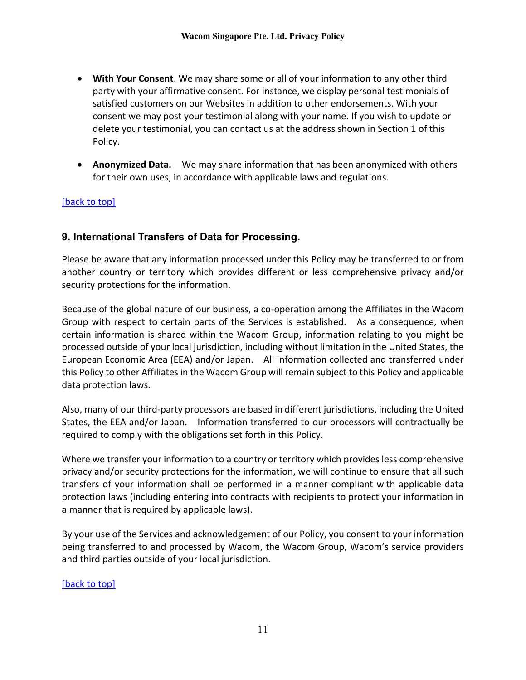- **With Your Consent**. We may share some or all of your information to any other third party with your affirmative consent. For instance, we display personal testimonials of satisfied customers on our Websites in addition to other endorsements. With your consent we may post your testimonial along with your name. If you wish to update or delete your testimonial, you can contact us at the address shown in Section 1 of this Policy.
- **Anonymized Data.** We may share information that has been anonymized with others for their own uses, in accordance with applicable laws and regulations.

## [\[back to top\]](#page-0-1)

# <span id="page-10-0"></span>**9. International Transfers of Data for Processing.**

Please be aware that any information processed under this Policy may be transferred to or from another country or territory which provides different or less comprehensive privacy and/or security protections for the information.

Because of the global nature of our business, a co-operation among the Affiliates in the Wacom Group with respect to certain parts of the Services is established. As a consequence, when certain information is shared within the Wacom Group, information relating to you might be processed outside of your local jurisdiction, including without limitation in the United States, the European Economic Area (EEA) and/or Japan. All information collected and transferred under this Policy to other Affiliates in the Wacom Group will remain subject to this Policy and applicable data protection laws.

Also, many of our third-party processors are based in different jurisdictions, including the United States, the EEA and/or Japan. Information transferred to our processors will contractually be required to comply with the obligations set forth in this Policy.

Where we transfer your information to a country or territory which provides less comprehensive privacy and/or security protections for the information, we will continue to ensure that all such transfers of your information shall be performed in a manner compliant with applicable data protection laws (including entering into contracts with recipients to protect your information in a manner that is required by applicable laws).

By your use of the Services and acknowledgement of our Policy, you consent to your information being transferred to and processed by Wacom, the Wacom Group, Wacom's service providers and third parties outside of your local jurisdiction.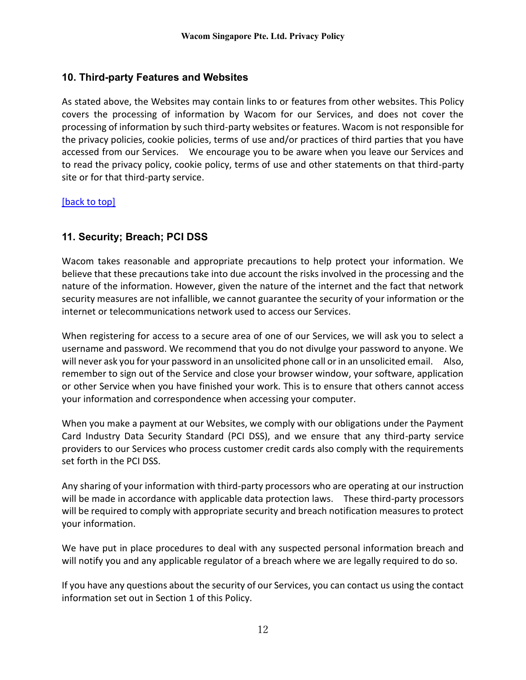# <span id="page-11-0"></span>**10. Third-party Features and Websites**

As stated above, the Websites may contain links to or features from other websites. This Policy covers the processing of information by Wacom for our Services, and does not cover the processing of information by such third-party websites or features. Wacom is not responsible for the privacy policies, cookie policies, terms of use and/or practices of third parties that you have accessed from our Services. We encourage you to be aware when you leave our Services and to read the privacy policy, cookie policy, terms of use and other statements on that third-party site or for that third-party service.

### [\[back to top\]](#page-0-1)

# <span id="page-11-1"></span>**11. Security; Breach; PCI DSS**

Wacom takes reasonable and appropriate precautions to help protect your information. We believe that these precautions take into due account the risks involved in the processing and the nature of the information. However, given the nature of the internet and the fact that network security measures are not infallible, we cannot guarantee the security of your information or the internet or telecommunications network used to access our Services.

When registering for access to a secure area of one of our Services, we will ask you to select a username and password. We recommend that you do not divulge your password to anyone. We will never ask you for your password in an unsolicited phone call or in an unsolicited email. Also, remember to sign out of the Service and close your browser window, your software, application or other Service when you have finished your work. This is to ensure that others cannot access your information and correspondence when accessing your computer.

When you make a payment at our Websites, we comply with our obligations under the Payment Card Industry Data Security Standard (PCI DSS), and we ensure that any third-party service providers to our Services who process customer credit cards also comply with the requirements set forth in the PCI DSS.

Any sharing of your information with third-party processors who are operating at our instruction will be made in accordance with applicable data protection laws. These third-party processors will be required to comply with appropriate security and breach notification measures to protect your information.

We have put in place procedures to deal with any suspected personal information breach and will notify you and any applicable regulator of a breach where we are legally required to do so.

If you have any questions about the security of our Services, you can contact us using the contact information set out in Section 1 of this Policy.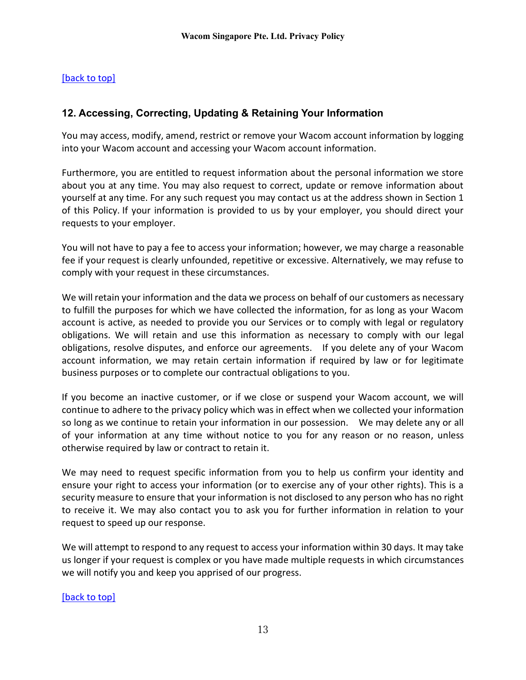# [\[back to top\]](#page-0-1)

# <span id="page-12-0"></span>**12. Accessing, Correcting, Updating & Retaining Your Information**

You may access, modify, amend, restrict or remove your Wacom account information by logging into your Wacom account and accessing your Wacom account information.

Furthermore, you are entitled to request information about the personal information we store about you at any time. You may also request to correct, update or remove information about yourself at any time. For any such request you may contact us at the address shown in Section 1 of this Policy. If your information is provided to us by your employer, you should direct your requests to your employer.

You will not have to pay a fee to access your information; however, we may charge a reasonable fee if your request is clearly unfounded, repetitive or excessive. Alternatively, we may refuse to comply with your request in these circumstances.

We will retain your information and the data we process on behalf of our customers as necessary to fulfill the purposes for which we have collected the information, for as long as your Wacom account is active, as needed to provide you our Services or to comply with legal or regulatory obligations. We will retain and use this information as necessary to comply with our legal obligations, resolve disputes, and enforce our agreements. If you delete any of your Wacom account information, we may retain certain information if required by law or for legitimate business purposes or to complete our contractual obligations to you.

If you become an inactive customer, or if we close or suspend your Wacom account, we will continue to adhere to the privacy policy which was in effect when we collected your information so long as we continue to retain your information in our possession. We may delete any or all of your information at any time without notice to you for any reason or no reason, unless otherwise required by law or contract to retain it.

We may need to request specific information from you to help us confirm your identity and ensure your right to access your information (or to exercise any of your other rights). This is a security measure to ensure that your information is not disclosed to any person who has no right to receive it. We may also contact you to ask you for further information in relation to your request to speed up our response.

We will attempt to respond to any request to access your information within 30 days. It may take us longer if your request is complex or you have made multiple requests in which circumstances we will notify you and keep you apprised of our progress.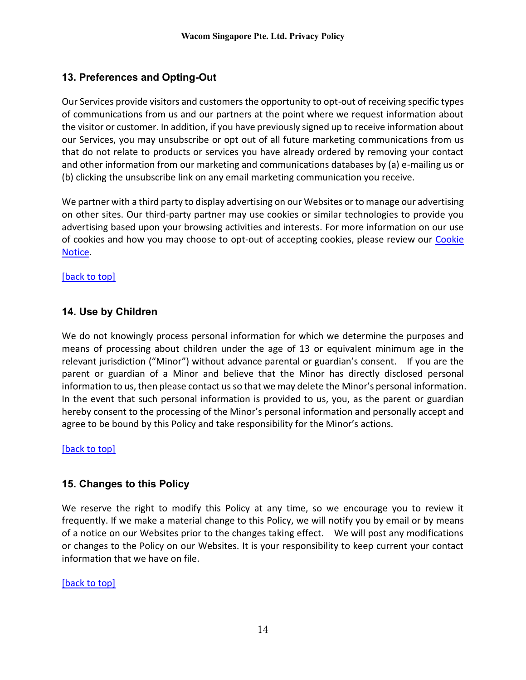# <span id="page-13-0"></span>**13. Preferences and Opting-Out**

Our Services provide visitors and customers the opportunity to opt-out of receiving specific types of communications from us and our partners at the point where we request information about the visitor or customer. In addition, if you have previously signed up to receive information about our Services, you may unsubscribe or opt out of all future marketing communications from us that do not relate to products or services you have already ordered by removing your contact and other information from our marketing and communications databases by (a) e-mailing us or (b) clicking the unsubscribe link on any email marketing communication you receive.

We partner with a third party to display advertising on our Websites or to manage our advertising on other sites. Our third-party partner may use cookies or similar technologies to provide you advertising based upon your browsing activities and interests. For more information on our use of cookies and how you may choose to opt-out of accepting cookies, please review our [Cookie](https://www.wacom.com/en-sg/cookie-notice)  [Notice.](https://www.wacom.com/en-sg/cookie-notice)

[\[back to top\]](#page-0-1)

# <span id="page-13-1"></span>**14. Use by Children**

We do not knowingly process personal information for which we determine the purposes and means of processing about children under the age of 13 or equivalent minimum age in the relevant jurisdiction ("Minor") without advance parental or guardian's consent. If you are the parent or guardian of a Minor and believe that the Minor has directly disclosed personal information to us, then please contact us so that we may delete the Minor's personal information. In the event that such personal information is provided to us, you, as the parent or guardian hereby consent to the processing of the Minor's personal information and personally accept and agree to be bound by this Policy and take responsibility for the Minor's actions.

[\[back to top\]](#page-0-1)

# <span id="page-13-2"></span>**15. Changes to this Policy**

We reserve the right to modify this Policy at any time, so we encourage you to review it frequently. If we make a material change to this Policy, we will notify you by email or by means of a notice on our Websites prior to the changes taking effect. We will post any modifications or changes to the Policy on our Websites. It is your responsibility to keep current your contact information that we have on file.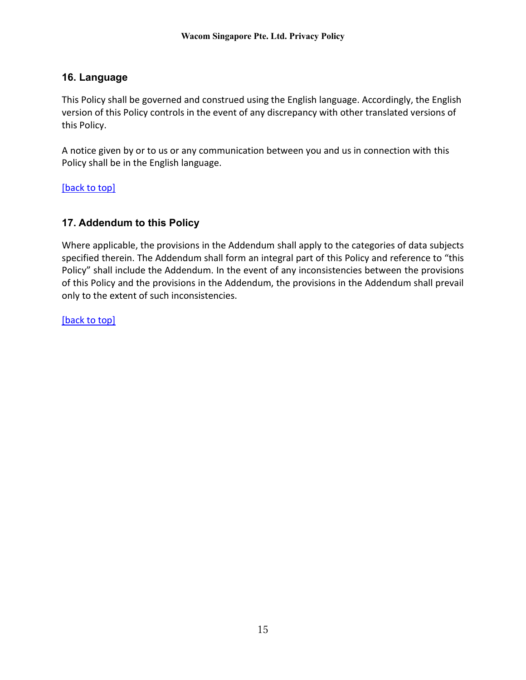# <span id="page-14-0"></span>**16. Language**

This Policy shall be governed and construed using the English language. Accordingly, the English version of this Policy controls in the event of any discrepancy with other translated versions of this Policy.

A notice given by or to us or any communication between you and us in connection with this Policy shall be in the English language.

[\[back to top\]](#page-0-1)

# <span id="page-14-1"></span>**17. Addendum to this Policy**

Where applicable, the provisions in the Addendum shall apply to the categories of data subjects specified therein. The Addendum shall form an integral part of this Policy and reference to "this Policy" shall include the Addendum. In the event of any inconsistencies between the provisions of this Policy and the provisions in the Addendum, the provisions in the Addendum shall prevail only to the extent of such inconsistencies.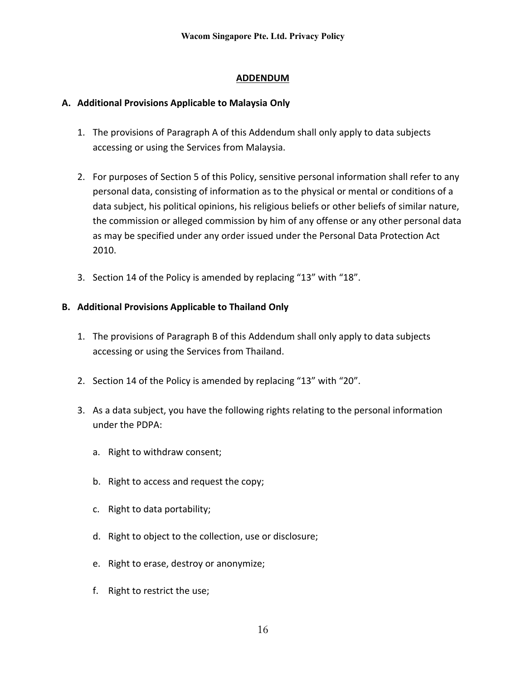# **ADDENDUM**

# **A. Additional Provisions Applicable to Malaysia Only**

- 1. The provisions of Paragraph A of this Addendum shall only apply to data subjects accessing or using the Services from Malaysia.
- 2. For purposes of Section 5 of this Policy, sensitive personal information shall refer to any personal data, consisting of information as to the physical or mental or conditions of a data subject, his political opinions, his religious beliefs or other beliefs of similar nature, the commission or alleged commission by him of any offense or any other personal data as may be specified under any order issued under the Personal Data Protection Act 2010.
- 3. Section 14 of the Policy is amended by replacing "13" with "18".

# **B. Additional Provisions Applicable to Thailand Only**

- 1. The provisions of Paragraph B of this Addendum shall only apply to data subjects accessing or using the Services from Thailand.
- 2. Section 14 of the Policy is amended by replacing "13" with "20".
- 3. As a data subject, you have the following rights relating to the personal information under the PDPA:
	- a. Right to withdraw consent;
	- b. Right to access and request the copy;
	- c. Right to data portability;
	- d. Right to object to the collection, use or disclosure;
	- e. Right to erase, destroy or anonymize;
	- f. Right to restrict the use;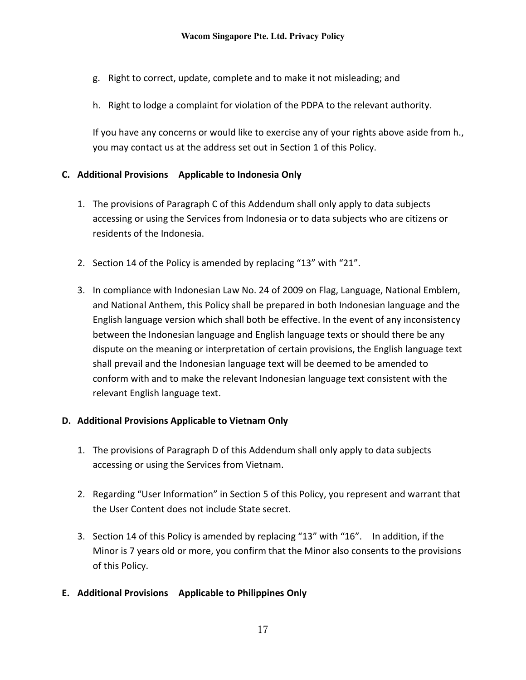- g. Right to correct, update, complete and to make it not misleading; and
- h. Right to lodge a complaint for violation of the PDPA to the relevant authority.

If you have any concerns or would like to exercise any of your rights above aside from h., you may contact us at the address set out in Section 1 of this Policy.

# **C. Additional Provisions Applicable to Indonesia Only**

- 1. The provisions of Paragraph C of this Addendum shall only apply to data subjects accessing or using the Services from Indonesia or to data subjects who are citizens or residents of the Indonesia.
- 2. Section 14 of the Policy is amended by replacing "13" with "21".
- 3. In compliance with Indonesian Law No. 24 of 2009 on Flag, Language, National Emblem, and National Anthem, this Policy shall be prepared in both Indonesian language and the English language version which shall both be effective. In the event of any inconsistency between the Indonesian language and English language texts or should there be any dispute on the meaning or interpretation of certain provisions, the English language text shall prevail and the Indonesian language text will be deemed to be amended to conform with and to make the relevant Indonesian language text consistent with the relevant English language text.

## **D. Additional Provisions Applicable to Vietnam Only**

- 1. The provisions of Paragraph D of this Addendum shall only apply to data subjects accessing or using the Services from Vietnam.
- 2. Regarding "User Information" in Section 5 of this Policy, you represent and warrant that the User Content does not include State secret.
- 3. Section 14 of this Policy is amended by replacing "13" with "16". In addition, if the Minor is 7 years old or more, you confirm that the Minor also consents to the provisions of this Policy.
- **E. Additional Provisions Applicable to Philippines Only**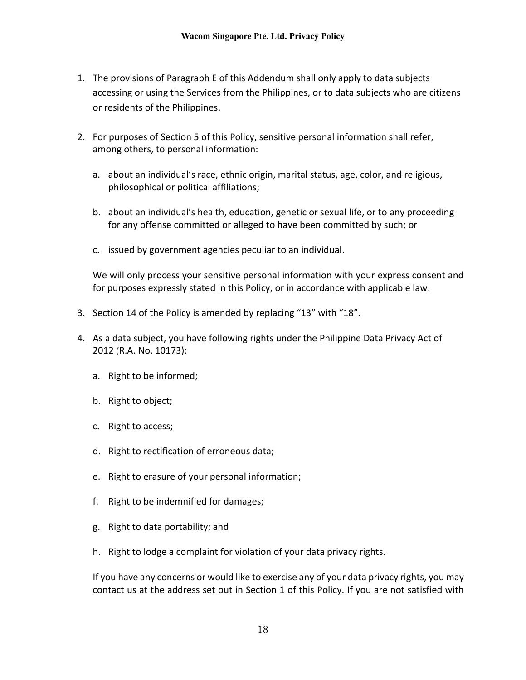- 1. The provisions of Paragraph E of this Addendum shall only apply to data subjects accessing or using the Services from the Philippines, or to data subjects who are citizens or residents of the Philippines.
- 2. For purposes of Section 5 of this Policy, sensitive personal information shall refer, among others, to personal information:
	- a. about an individual's race, ethnic origin, marital status, age, color, and religious, philosophical or political affiliations;
	- b. about an individual's health, education, genetic or sexual life, or to any proceeding for any offense committed or alleged to have been committed by such; or
	- c. issued by government agencies peculiar to an individual.

We will only process your sensitive personal information with your express consent and for purposes expressly stated in this Policy, or in accordance with applicable law.

- 3. Section 14 of the Policy is amended by replacing "13" with "18".
- 4. As a data subject, you have following rights under the Philippine Data Privacy Act of 2012 (R.A. No. 10173):
	- a. Right to be informed;
	- b. Right to object;
	- c. Right to access;
	- d. Right to rectification of erroneous data;
	- e. Right to erasure of your personal information;
	- f. Right to be indemnified for damages;
	- g. Right to data portability; and
	- h. Right to lodge a complaint for violation of your data privacy rights.

If you have any concerns or would like to exercise any of your data privacy rights, you may contact us at the address set out in Section 1 of this Policy. If you are not satisfied with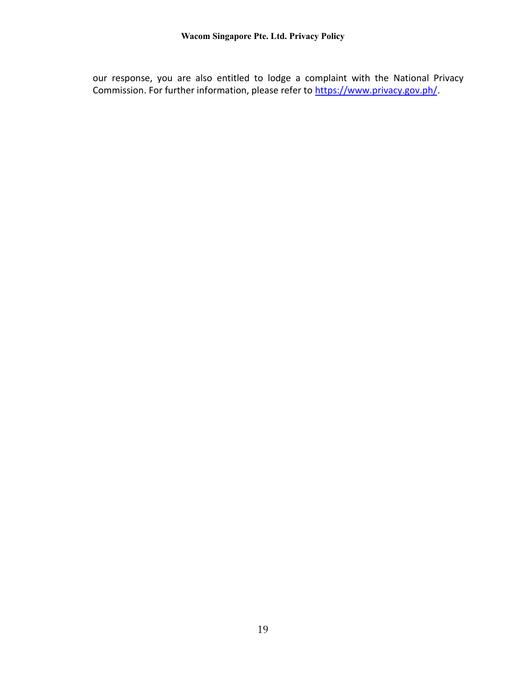our response, you are also entitled to lodge a complaint with the National Privacy Commission. For further information, please refer to [https://www.privacy.gov.ph/.](https://www.privacy.gov.ph/)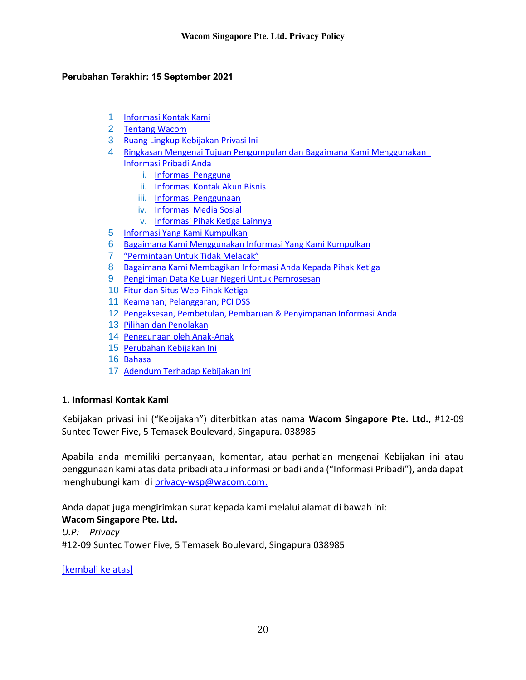#### <span id="page-19-0"></span>**Perubahan Terakhir: 15 September 2021**

- 1 [Informasi Kontak Kami](#page-19-1)
- 2 [Tentang Wacom](#page-20-0)
- 3 [Ruang Lingkup Kebijakan Privasi Ini](#page-20-1)
- 4 [Ringkasan Mengenai Tujuan Pengumpulan dan Bagaimana Kami Menggunakan](#page-21-0)  [Informasi Pribadi Anda](#page-21-0)
	- i. [Informasi Pengguna](#page-21-1)
	- ii. [Informasi Kontak Akun Bisnis](#page-21-2)
	- iii. [Informasi Penggunaan](#page-22-0)
	- iv. [Informasi Media Sosial](#page-22-1)
	- v. [Informasi Pihak Ketiga Lainnya](#page-22-2)
- 5 [Informasi Yang Kami Kumpulkan](#page-23-0)
- 6 [Bagaimana Kami Menggunakan Informasi Yang Kami Kumpulkan](#page-26-0)
- 7 ["Permintaan Untuk Tidak Melacak"](#page-28-0)
- 8 [Bagaimana Kami Membagikan Informasi Anda Kepada Pihak Ketiga](#page-28-1)
- 9 [Pengiriman Data Ke Luar Negeri Untuk Pemrosesan](#page-30-0)
- 10 [Fitur dan Situs Web Pihak Ketiga](#page-31-0)
- 11 [Keamanan; Pelanggaran; PCI DSS](#page-31-1)
- 12 [Pengaksesan, Pembetulan, Pembaruan](#page-32-0) & Penyimpanan Informasi Anda
- 13 [Pilihan dan Penolakan](#page-33-0)
- 14 [Penggunaan oleh Anak-Anak](#page-34-0)
- 15 [Perubahan Kebijakan Ini](#page-34-1)
- 16 [Bahasa](#page-35-0)
- 17 [Adendum Terhadap Kebijakan Ini](#page-35-1)

#### <span id="page-19-1"></span>**1. Informasi Kontak Kami**

Kebijakan privasi ini ("Kebijakan") diterbitkan atas nama **Wacom Singapore Pte. Ltd.**, #12-09 Suntec Tower Five, 5 Temasek Boulevard, Singapura. 038985

Apabila anda memiliki pertanyaan, komentar, atau perhatian mengenai Kebijakan ini atau penggunaan kami atas data pribadi atau informasi pribadi anda ("Informasi Pribadi"), anda dapat menghubungi kami di [privacy-wsp@wacom.com.](mailto:privacy-wsp@wacom.com)

Anda dapat juga mengirimkan surat kepada kami melalui alamat di bawah ini: **Wacom Singapore Pte. Ltd.** *U.P: Privacy* #12-09 Suntec Tower Five, 5 Temasek Boulevard, Singapura 038985

[\[kembali ke atas\]](#page-19-0)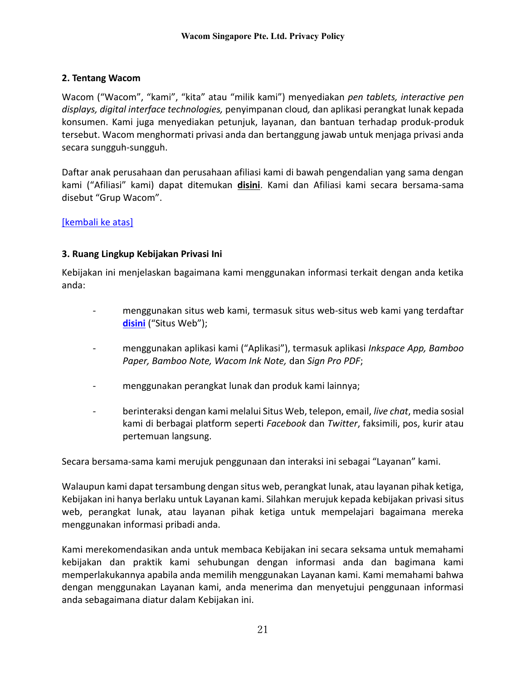# <span id="page-20-0"></span>**2. Tentang Wacom**

Wacom ("Wacom", "kami", "kita" atau "milik kami") menyediakan *pen tablets, interactive pen displays, digital interface technologies,* penyimpanan cloud*,* dan aplikasi perangkat lunak kepada konsumen. Kami juga menyediakan petunjuk, layanan, dan bantuan terhadap produk-produk tersebut. Wacom menghormati privasi anda dan bertanggung jawab untuk menjaga privasi anda secara sungguh-sungguh.

Daftar anak perusahaan dan perusahaan afiliasi kami di bawah pengendalian yang sama dengan kami ("Afiliasi" kami) dapat ditemukan **disini**. Kami dan Afiliasi kami secara bersama-sama disebut "Grup Wacom".

# [\[kembali ke atas\]](#page-19-0)

## <span id="page-20-1"></span>**3. Ruang Lingkup Kebijakan Privasi Ini**

Kebijakan ini menjelaskan bagaimana kami menggunakan informasi terkait dengan anda ketika anda:

- menggunakan situs web kami, termasuk situs web-situs web kami yang terdaftar **[disini](https://www.wacom.com/en-sg/websites)** ("Situs Web");
- menggunakan aplikasi kami ("Aplikasi"), termasuk aplikasi *Inkspace App, Bamboo Paper, Bamboo Note, Wacom Ink Note,* dan *Sign Pro PDF*;
- menggunakan perangkat lunak dan produk kami lainnya;
- berinteraksi dengan kami melalui Situs Web, telepon, email, *live chat*, media sosial kami di berbagai platform seperti *Facebook* dan *Twitter*, faksimili, pos, kurir atau pertemuan langsung.

Secara bersama-sama kami merujuk penggunaan dan interaksi ini sebagai "Layanan" kami.

Walaupun kami dapat tersambung dengan situs web, perangkat lunak, atau layanan pihak ketiga, Kebijakan ini hanya berlaku untuk Layanan kami. Silahkan merujuk kepada kebijakan privasi situs web, perangkat lunak, atau layanan pihak ketiga untuk mempelajari bagaimana mereka menggunakan informasi pribadi anda.

Kami merekomendasikan anda untuk membaca Kebijakan ini secara seksama untuk memahami kebijakan dan praktik kami sehubungan dengan informasi anda dan bagimana kami memperlakukannya apabila anda memilih menggunakan Layanan kami. Kami memahami bahwa dengan menggunakan Layanan kami, anda menerima dan menyetujui penggunaan informasi anda sebagaimana diatur dalam Kebijakan ini.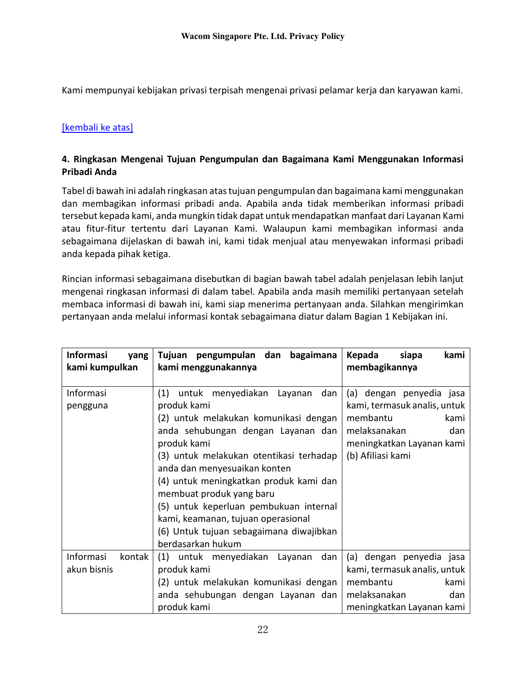Kami mempunyai kebijakan privasi terpisah mengenai privasi pelamar kerja dan karyawan kami.

# [\[kembali ke atas\]](#page-19-0)

### <span id="page-21-0"></span>**4. Ringkasan Mengenai Tujuan Pengumpulan dan Bagaimana Kami Menggunakan Informasi Pribadi Anda**

Tabel di bawah ini adalah ringkasan atas tujuan pengumpulan dan bagaimana kami menggunakan dan membagikan informasi pribadi anda. Apabila anda tidak memberikan informasi pribadi tersebut kepada kami, anda mungkin tidak dapat untuk mendapatkan manfaat dari Layanan Kami atau fitur-fitur tertentu dari Layanan Kami. Walaupun kami membagikan informasi anda sebagaimana dijelaskan di bawah ini, kami tidak menjual atau menyewakan informasi pribadi anda kepada pihak ketiga.

Rincian informasi sebagaimana disebutkan di bagian bawah tabel adalah penjelasan lebih lanjut mengenai ringkasan informasi di dalam tabel. Apabila anda masih memiliki pertanyaan setelah membaca informasi di bawah ini, kami siap menerima pertanyaan anda. Silahkan mengirimkan pertanyaan anda melalui informasi kontak sebagaimana diatur dalam Bagian 1 Kebijakan ini.

<span id="page-21-2"></span><span id="page-21-1"></span>

| <b>Informasi</b><br>yang<br>kami kumpulkan | Tujuan pengumpulan dan<br>bagaimana<br>kami menggunakannya                                                                                                                                                                                                                                                                                                                                                                                            | kami<br>Kepada<br>siapa<br>membagikannya                                                                                                              |
|--------------------------------------------|-------------------------------------------------------------------------------------------------------------------------------------------------------------------------------------------------------------------------------------------------------------------------------------------------------------------------------------------------------------------------------------------------------------------------------------------------------|-------------------------------------------------------------------------------------------------------------------------------------------------------|
| Informasi<br>pengguna                      | (1)<br>untuk menyediakan Layanan<br>dan<br>produk kami<br>(2) untuk melakukan komunikasi dengan<br>anda sehubungan dengan Layanan dan<br>produk kami<br>(3) untuk melakukan otentikasi terhadap<br>anda dan menyesuaikan konten<br>(4) untuk meningkatkan produk kami dan<br>membuat produk yang baru<br>(5) untuk keperluan pembukuan internal<br>kami, keamanan, tujuan operasional<br>(6) Untuk tujuan sebagaimana diwajibkan<br>berdasarkan hukum | (a) dengan penyedia jasa<br>kami, termasuk analis, untuk<br>membantu<br>kami<br>melaksanakan<br>dan<br>meningkatkan Layanan kami<br>(b) Afiliasi kami |
| Informasi<br>kontak<br>akun bisnis         | (1) untuk menyediakan<br>dan<br>Layanan<br>produk kami<br>(2) untuk melakukan komunikasi dengan<br>anda sehubungan dengan Layanan dan<br>produk kami                                                                                                                                                                                                                                                                                                  | (a) dengan penyedia jasa<br>kami, termasuk analis, untuk<br>membantu<br>kami<br>melaksanakan<br>dan<br>meningkatkan Layanan kami                      |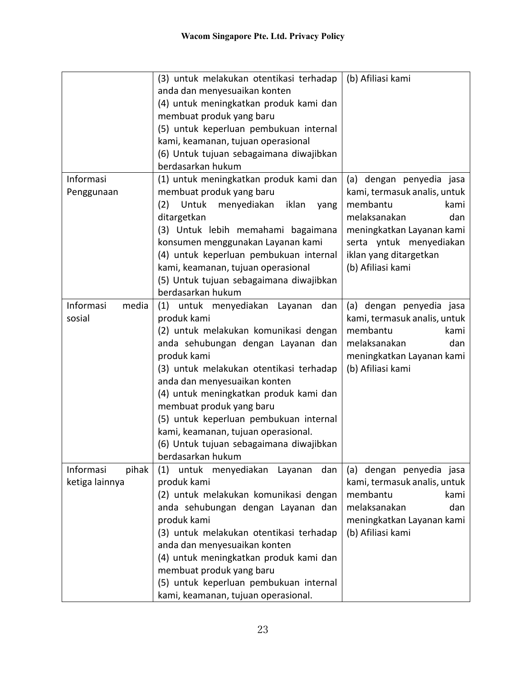<span id="page-22-2"></span><span id="page-22-1"></span><span id="page-22-0"></span>

|                                      | (3) untuk melakukan otentikasi terhadap<br>anda dan menyesuaikan konten<br>(4) untuk meningkatkan produk kami dan<br>membuat produk yang baru<br>(5) untuk keperluan pembukuan internal<br>kami, keamanan, tujuan operasional<br>(6) Untuk tujuan sebagaimana diwajibkan<br>berdasarkan hukum                                                                                                                                                    | (b) Afiliasi kami                                                                                                                                                                                          |
|--------------------------------------|--------------------------------------------------------------------------------------------------------------------------------------------------------------------------------------------------------------------------------------------------------------------------------------------------------------------------------------------------------------------------------------------------------------------------------------------------|------------------------------------------------------------------------------------------------------------------------------------------------------------------------------------------------------------|
| Informasi<br>Penggunaan              | (1) untuk meningkatkan produk kami dan<br>membuat produk yang baru<br>Untuk<br>(2)<br>menyediakan<br>iklan<br>yang<br>ditargetkan<br>(3) Untuk lebih memahami bagaimana<br>konsumen menggunakan Layanan kami<br>(4) untuk keperluan pembukuan internal<br>kami, keamanan, tujuan operasional<br>(5) Untuk tujuan sebagaimana diwajibkan<br>berdasarkan hukum                                                                                     | (a) dengan penyedia jasa<br>kami, termasuk analis, untuk<br>membantu<br>kami<br>melaksanakan<br>dan<br>meningkatkan Layanan kami<br>serta yntuk menyediakan<br>iklan yang ditargetkan<br>(b) Afiliasi kami |
| Informasi<br>media<br>sosial         | (1) untuk menyediakan Layanan dan<br>produk kami<br>(2) untuk melakukan komunikasi dengan<br>anda sehubungan dengan Layanan dan<br>produk kami<br>(3) untuk melakukan otentikasi terhadap<br>anda dan menyesuaikan konten<br>(4) untuk meningkatkan produk kami dan<br>membuat produk yang baru<br>(5) untuk keperluan pembukuan internal<br>kami, keamanan, tujuan operasional.<br>(6) Untuk tujuan sebagaimana diwajibkan<br>berdasarkan hukum | (a) dengan penyedia jasa<br>kami, termasuk analis, untuk<br>membantu<br>kami<br>melaksanakan<br>dan<br>meningkatkan Layanan kami<br>(b) Afiliasi kami                                                      |
| Informasi<br>pihak<br>ketiga lainnya | (1)<br>untuk<br>menyediakan<br>dan<br>Layanan<br>produk kami<br>(2) untuk melakukan komunikasi dengan<br>anda sehubungan dengan Layanan dan<br>produk kami<br>(3) untuk melakukan otentikasi terhadap<br>anda dan menyesuaikan konten<br>(4) untuk meningkatkan produk kami dan<br>membuat produk yang baru<br>(5) untuk keperluan pembukuan internal<br>kami, keamanan, tujuan operasional.                                                     | (a) dengan penyedia jasa<br>kami, termasuk analis, untuk<br>membantu<br>kami<br>melaksanakan<br>dan<br>meningkatkan Layanan kami<br>(b) Afiliasi kami                                                      |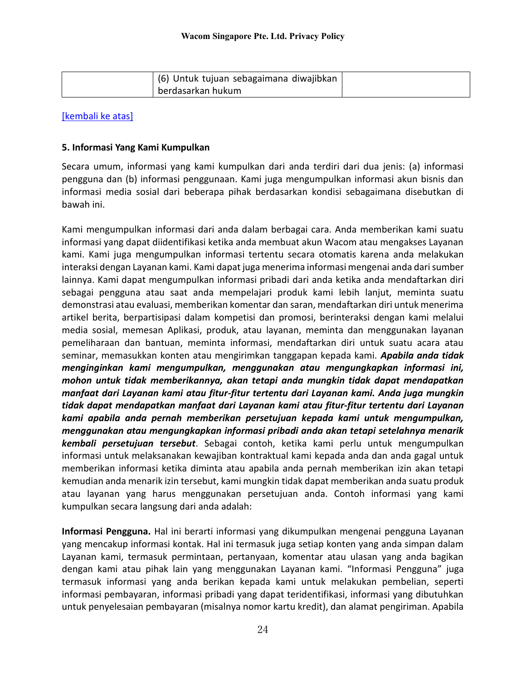| (6) Untuk tujuan sebagaimana diwajibkan |  |
|-----------------------------------------|--|
| berdasarkan hukum                       |  |

### [\[kembali ke atas\]](#page-19-0)

#### <span id="page-23-0"></span>**5. Informasi Yang Kami Kumpulkan**

Secara umum, informasi yang kami kumpulkan dari anda terdiri dari dua jenis: (a) informasi pengguna dan (b) informasi penggunaan. Kami juga mengumpulkan informasi akun bisnis dan informasi media sosial dari beberapa pihak berdasarkan kondisi sebagaimana disebutkan di bawah ini.

Kami mengumpulkan informasi dari anda dalam berbagai cara. Anda memberikan kami suatu informasi yang dapat diidentifikasi ketika anda membuat akun Wacom atau mengakses Layanan kami. Kami juga mengumpulkan informasi tertentu secara otomatis karena anda melakukan interaksi dengan Layanan kami. Kami dapat juga menerima informasi mengenai anda dari sumber lainnya. Kami dapat mengumpulkan informasi pribadi dari anda ketika anda mendaftarkan diri sebagai pengguna atau saat anda mempelajari produk kami lebih lanjut, meminta suatu demonstrasi atau evaluasi, memberikan komentar dan saran, mendaftarkan diri untuk menerima artikel berita, berpartisipasi dalam kompetisi dan promosi, berinteraksi dengan kami melalui media sosial, memesan Aplikasi, produk, atau layanan, meminta dan menggunakan layanan pemeliharaan dan bantuan, meminta informasi, mendaftarkan diri untuk suatu acara atau seminar, memasukkan konten atau mengirimkan tanggapan kepada kami. *Apabila anda tidak menginginkan kami mengumpulkan, menggunakan atau mengungkapkan informasi ini, mohon untuk tidak memberikannya, akan tetapi anda mungkin tidak dapat mendapatkan manfaat dari Layanan kami atau fitur-fitur tertentu dari Layanan kami. Anda juga mungkin tidak dapat mendapatkan manfaat dari Layanan kami atau fitur-fitur tertentu dari Layanan kami apabila anda pernah memberikan persetujuan kepada kami untuk mengumpulkan, menggunakan atau mengungkapkan informasi pribadi anda akan tetapi setelahnya menarik kembali persetujuan tersebut*. Sebagai contoh, ketika kami perlu untuk mengumpulkan informasi untuk melaksanakan kewajiban kontraktual kami kepada anda dan anda gagal untuk memberikan informasi ketika diminta atau apabila anda pernah memberikan izin akan tetapi kemudian anda menarik izin tersebut, kami mungkin tidak dapat memberikan anda suatu produk atau layanan yang harus menggunakan persetujuan anda. Contoh informasi yang kami kumpulkan secara langsung dari anda adalah:

**Informasi Pengguna.** Hal ini berarti informasi yang dikumpulkan mengenai pengguna Layanan yang mencakup informasi kontak. Hal ini termasuk juga setiap konten yang anda simpan dalam Layanan kami, termasuk permintaan, pertanyaan, komentar atau ulasan yang anda bagikan dengan kami atau pihak lain yang menggunakan Layanan kami. "Informasi Pengguna" juga termasuk informasi yang anda berikan kepada kami untuk melakukan pembelian, seperti informasi pembayaran, informasi pribadi yang dapat teridentifikasi, informasi yang dibutuhkan untuk penyelesaian pembayaran (misalnya nomor kartu kredit), dan alamat pengiriman. Apabila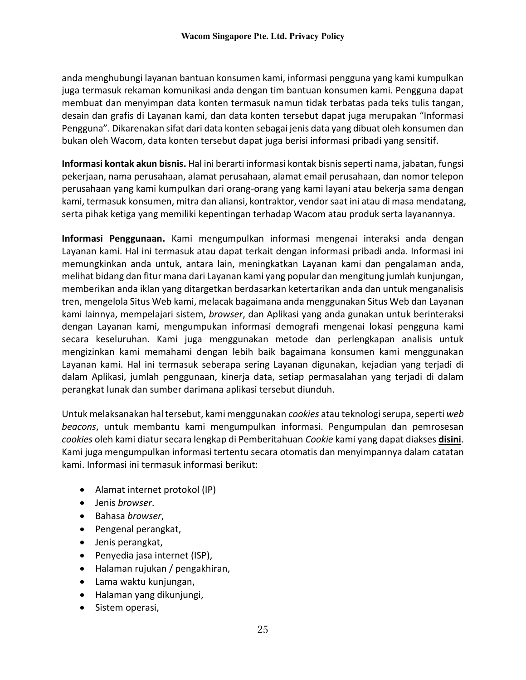anda menghubungi layanan bantuan konsumen kami, informasi pengguna yang kami kumpulkan juga termasuk rekaman komunikasi anda dengan tim bantuan konsumen kami. Pengguna dapat membuat dan menyimpan data konten termasuk namun tidak terbatas pada teks tulis tangan, desain dan grafis di Layanan kami, dan data konten tersebut dapat juga merupakan "Informasi Pengguna". Dikarenakan sifat dari data konten sebagai jenis data yang dibuat oleh konsumen dan bukan oleh Wacom, data konten tersebut dapat juga berisi informasi pribadi yang sensitif.

**Informasi kontak akun bisnis.** Hal ini berarti informasi kontak bisnis seperti nama, jabatan, fungsi pekerjaan, nama perusahaan, alamat perusahaan, alamat email perusahaan, dan nomor telepon perusahaan yang kami kumpulkan dari orang-orang yang kami layani atau bekerja sama dengan kami, termasuk konsumen, mitra dan aliansi, kontraktor, vendor saat ini atau di masa mendatang, serta pihak ketiga yang memiliki kepentingan terhadap Wacom atau produk serta layanannya.

**Informasi Penggunaan.** Kami mengumpulkan informasi mengenai interaksi anda dengan Layanan kami. Hal ini termasuk atau dapat terkait dengan informasi pribadi anda. Informasi ini memungkinkan anda untuk, antara lain, meningkatkan Layanan kami dan pengalaman anda, melihat bidang dan fitur mana dari Layanan kami yang popular dan mengitung jumlah kunjungan, memberikan anda iklan yang ditargetkan berdasarkan ketertarikan anda dan untuk menganalisis tren, mengelola Situs Web kami, melacak bagaimana anda menggunakan Situs Web dan Layanan kami lainnya, mempelajari sistem, *browser*, dan Aplikasi yang anda gunakan untuk berinteraksi dengan Layanan kami, mengumpukan informasi demografi mengenai lokasi pengguna kami secara keseluruhan. Kami juga menggunakan metode dan perlengkapan analisis untuk mengizinkan kami memahami dengan lebih baik bagaimana konsumen kami menggunakan Layanan kami. Hal ini termasuk seberapa sering Layanan digunakan, kejadian yang terjadi di dalam Aplikasi, jumlah penggunaan, kinerja data, setiap permasalahan yang terjadi di dalam perangkat lunak dan sumber darimana aplikasi tersebut diunduh.

Untuk melaksanakan hal tersebut, kami menggunakan *cookies* atau teknologi serupa, seperti *web beacons*, untuk membantu kami mengumpulkan informasi. Pengumpulan dan pemrosesan *cookies* oleh kami diatur secara lengkap di Pemberitahuan *Cookie* kami yang dapat diakses **disini**. Kami juga mengumpulkan informasi tertentu secara otomatis dan menyimpannya dalam catatan kami. Informasi ini termasuk informasi berikut:

- Alamat internet protokol (IP)
- Jenis *browser*.
- Bahasa *browser*,
- Pengenal perangkat,
- Jenis perangkat,
- Penyedia jasa internet (ISP),
- Halaman rujukan / pengakhiran,
- Lama waktu kunjungan,
- Halaman yang dikunjungi,
- Sistem operasi,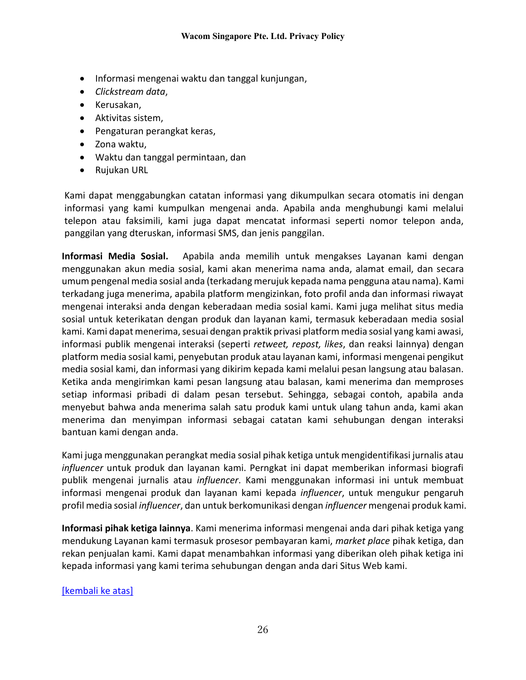- Informasi mengenai waktu dan tanggal kunjungan,
- *Clickstream data*,
- Kerusakan,
- Aktivitas sistem,
- Pengaturan perangkat keras,
- Zona waktu,
- Waktu dan tanggal permintaan, dan
- Rujukan URL

Kami dapat menggabungkan catatan informasi yang dikumpulkan secara otomatis ini dengan informasi yang kami kumpulkan mengenai anda. Apabila anda menghubungi kami melalui telepon atau faksimili, kami juga dapat mencatat informasi seperti nomor telepon anda, panggilan yang dteruskan, informasi SMS, dan jenis panggilan.

**Informasi Media Sosial.** Apabila anda memilih untuk mengakses Layanan kami dengan menggunakan akun media sosial, kami akan menerima nama anda, alamat email, dan secara umum pengenal media sosial anda (terkadang merujuk kepada nama pengguna atau nama). Kami terkadang juga menerima, apabila platform mengizinkan, foto profil anda dan informasi riwayat mengenai interaksi anda dengan keberadaan media sosial kami. Kami juga melihat situs media sosial untuk keterikatan dengan produk dan layanan kami, termasuk keberadaan media sosial kami. Kami dapat menerima, sesuai dengan praktik privasi platform media sosial yang kami awasi, informasi publik mengenai interaksi (seperti *retweet, repost, likes*, dan reaksi lainnya) dengan platform media sosial kami, penyebutan produk atau layanan kami, informasi mengenai pengikut media sosial kami, dan informasi yang dikirim kepada kami melalui pesan langsung atau balasan. Ketika anda mengirimkan kami pesan langsung atau balasan, kami menerima dan memproses setiap informasi pribadi di dalam pesan tersebut. Sehingga, sebagai contoh, apabila anda menyebut bahwa anda menerima salah satu produk kami untuk ulang tahun anda, kami akan menerima dan menyimpan informasi sebagai catatan kami sehubungan dengan interaksi bantuan kami dengan anda.

Kami juga menggunakan perangkat media sosial pihak ketiga untuk mengidentifikasi jurnalis atau *influencer* untuk produk dan layanan kami. Perngkat ini dapat memberikan informasi biografi publik mengenai jurnalis atau *influencer*. Kami menggunakan informasi ini untuk membuat informasi mengenai produk dan layanan kami kepada *influencer*, untuk mengukur pengaruh profil media sosial *influencer*, dan untuk berkomunikasi dengan *influencer* mengenai produk kami.

**Informasi pihak ketiga lainnya**. Kami menerima informasi mengenai anda dari pihak ketiga yang mendukung Layanan kami termasuk prosesor pembayaran kami, *market place* pihak ketiga, dan rekan penjualan kami. Kami dapat menambahkan informasi yang diberikan oleh pihak ketiga ini kepada informasi yang kami terima sehubungan dengan anda dari Situs Web kami.

[\[kembali ke atas\]](#page-19-0)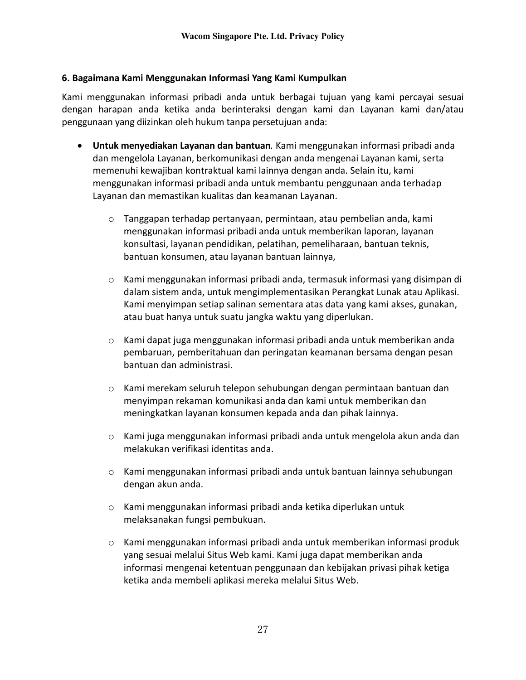### <span id="page-26-0"></span>**6. Bagaimana Kami Menggunakan Informasi Yang Kami Kumpulkan**

Kami menggunakan informasi pribadi anda untuk berbagai tujuan yang kami percayai sesuai dengan harapan anda ketika anda berinteraksi dengan kami dan Layanan kami dan/atau penggunaan yang diizinkan oleh hukum tanpa persetujuan anda:

- **Untuk menyediakan Layanan dan bantuan***.* Kami menggunakan informasi pribadi anda dan mengelola Layanan, berkomunikasi dengan anda mengenai Layanan kami, serta memenuhi kewajiban kontraktual kami lainnya dengan anda. Selain itu, kami menggunakan informasi pribadi anda untuk membantu penggunaan anda terhadap Layanan dan memastikan kualitas dan keamanan Layanan.
	- $\circ$  Tanggapan terhadap pertanyaan, permintaan, atau pembelian anda, kami menggunakan informasi pribadi anda untuk memberikan laporan, layanan konsultasi, layanan pendidikan, pelatihan, pemeliharaan, bantuan teknis, bantuan konsumen, atau layanan bantuan lainnya,
	- $\circ$  Kami menggunakan informasi pribadi anda, termasuk informasi yang disimpan di dalam sistem anda, untuk mengimplementasikan Perangkat Lunak atau Aplikasi. Kami menyimpan setiap salinan sementara atas data yang kami akses, gunakan, atau buat hanya untuk suatu jangka waktu yang diperlukan.
	- o Kami dapat juga menggunakan informasi pribadi anda untuk memberikan anda pembaruan, pemberitahuan dan peringatan keamanan bersama dengan pesan bantuan dan administrasi.
	- $\circ$  Kami merekam seluruh telepon sehubungan dengan permintaan bantuan dan menyimpan rekaman komunikasi anda dan kami untuk memberikan dan meningkatkan layanan konsumen kepada anda dan pihak lainnya.
	- $\circ$  Kami juga menggunakan informasi pribadi anda untuk mengelola akun anda dan melakukan verifikasi identitas anda.
	- $\circ$  Kami menggunakan informasi pribadi anda untuk bantuan lainnya sehubungan dengan akun anda.
	- o Kami menggunakan informasi pribadi anda ketika diperlukan untuk melaksanakan fungsi pembukuan.
	- $\circ$  Kami menggunakan informasi pribadi anda untuk memberikan informasi produk yang sesuai melalui Situs Web kami. Kami juga dapat memberikan anda informasi mengenai ketentuan penggunaan dan kebijakan privasi pihak ketiga ketika anda membeli aplikasi mereka melalui Situs Web.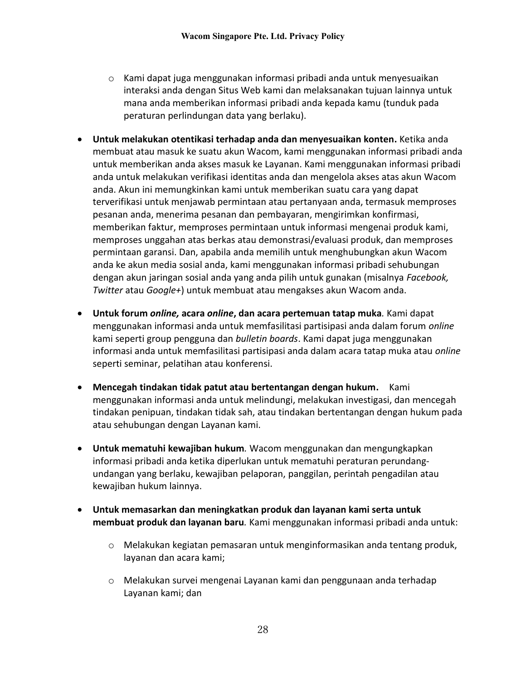- o Kami dapat juga menggunakan informasi pribadi anda untuk menyesuaikan interaksi anda dengan Situs Web kami dan melaksanakan tujuan lainnya untuk mana anda memberikan informasi pribadi anda kepada kamu (tunduk pada peraturan perlindungan data yang berlaku).
- **Untuk melakukan otentikasi terhadap anda dan menyesuaikan konten.** Ketika anda membuat atau masuk ke suatu akun Wacom, kami menggunakan informasi pribadi anda untuk memberikan anda akses masuk ke Layanan. Kami menggunakan informasi pribadi anda untuk melakukan verifikasi identitas anda dan mengelola akses atas akun Wacom anda. Akun ini memungkinkan kami untuk memberikan suatu cara yang dapat terverifikasi untuk menjawab permintaan atau pertanyaan anda, termasuk memproses pesanan anda, menerima pesanan dan pembayaran, mengirimkan konfirmasi, memberikan faktur, memproses permintaan untuk informasi mengenai produk kami, memproses unggahan atas berkas atau demonstrasi/evaluasi produk, dan memproses permintaan garansi. Dan, apabila anda memilih untuk menghubungkan akun Wacom anda ke akun media sosial anda, kami menggunakan informasi pribadi sehubungan dengan akun jaringan sosial anda yang anda pilih untuk gunakan (misalnya *Facebook, Twitter* atau *Google+*) untuk membuat atau mengakses akun Wacom anda.
- **Untuk forum** *online,* **acara** *online***, dan acara pertemuan tatap muka***.* Kami dapat menggunakan informasi anda untuk memfasilitasi partisipasi anda dalam forum *online* kami seperti group pengguna dan *bulletin boards*. Kami dapat juga menggunakan informasi anda untuk memfasilitasi partisipasi anda dalam acara tatap muka atau *online* seperti seminar, pelatihan atau konferensi.
- **Mencegah tindakan tidak patut atau bertentangan dengan hukum.** Kami menggunakan informasi anda untuk melindungi, melakukan investigasi, dan mencegah tindakan penipuan, tindakan tidak sah, atau tindakan bertentangan dengan hukum pada atau sehubungan dengan Layanan kami.
- **Untuk mematuhi kewajiban hukum***.* Wacom menggunakan dan mengungkapkan informasi pribadi anda ketika diperlukan untuk mematuhi peraturan perundangundangan yang berlaku, kewajiban pelaporan, panggilan, perintah pengadilan atau kewajiban hukum lainnya.
- **Untuk memasarkan dan meningkatkan produk dan layanan kami serta untuk membuat produk dan layanan baru***.* Kami menggunakan informasi pribadi anda untuk:
	- o Melakukan kegiatan pemasaran untuk menginformasikan anda tentang produk, layanan dan acara kami;
	- o Melakukan survei mengenai Layanan kami dan penggunaan anda terhadap Layanan kami; dan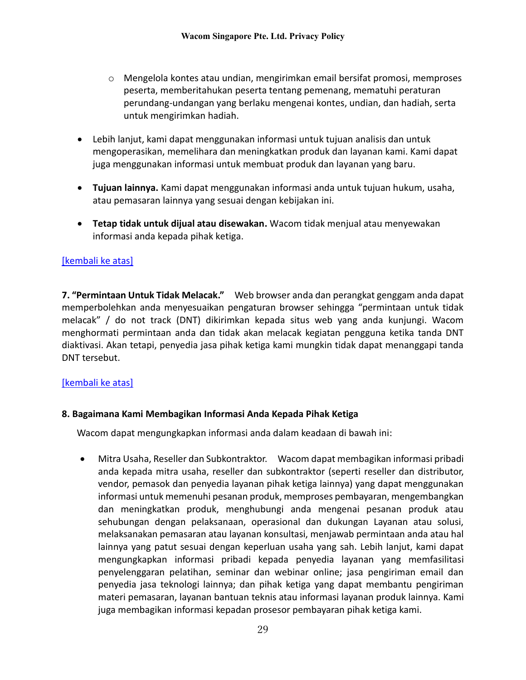- o Mengelola kontes atau undian, mengirimkan email bersifat promosi, memproses peserta, memberitahukan peserta tentang pemenang, mematuhi peraturan perundang-undangan yang berlaku mengenai kontes, undian, dan hadiah, serta untuk mengirimkan hadiah.
- Lebih lanjut, kami dapat menggunakan informasi untuk tujuan analisis dan untuk mengoperasikan, memelihara dan meningkatkan produk dan layanan kami. Kami dapat juga menggunakan informasi untuk membuat produk dan layanan yang baru.
- **Tujuan lainnya.** Kami dapat menggunakan informasi anda untuk tujuan hukum, usaha, atau pemasaran lainnya yang sesuai dengan kebijakan ini.
- **Tetap tidak untuk dijual atau disewakan.** Wacom tidak menjual atau menyewakan informasi anda kepada pihak ketiga.

# [\[kembali ke atas\]](#page-19-0)

<span id="page-28-0"></span>**7. "Permintaan Untuk Tidak Melacak."** Web browser anda dan perangkat genggam anda dapat memperbolehkan anda menyesuaikan pengaturan browser sehingga "permintaan untuk tidak melacak" / do not track (DNT) dikirimkan kepada situs web yang anda kunjungi. Wacom menghormati permintaan anda dan tidak akan melacak kegiatan pengguna ketika tanda DNT diaktivasi. Akan tetapi, penyedia jasa pihak ketiga kami mungkin tidak dapat menanggapi tanda DNT tersebut.

## [\[kembali ke atas\]](#page-19-0)

## <span id="page-28-1"></span>**8. Bagaimana Kami Membagikan Informasi Anda Kepada Pihak Ketiga**

Wacom dapat mengungkapkan informasi anda dalam keadaan di bawah ini:

• Mitra Usaha, Reseller dan Subkontraktor. Wacom dapat membagikan informasi pribadi anda kepada mitra usaha, reseller dan subkontraktor (seperti reseller dan distributor, vendor, pemasok dan penyedia layanan pihak ketiga lainnya) yang dapat menggunakan informasi untuk memenuhi pesanan produk, memproses pembayaran, mengembangkan dan meningkatkan produk, menghubungi anda mengenai pesanan produk atau sehubungan dengan pelaksanaan, operasional dan dukungan Layanan atau solusi, melaksanakan pemasaran atau layanan konsultasi, menjawab permintaan anda atau hal lainnya yang patut sesuai dengan keperluan usaha yang sah. Lebih lanjut, kami dapat mengungkapkan informasi pribadi kepada penyedia layanan yang memfasilitasi penyelenggaran pelatihan, seminar dan webinar online; jasa pengiriman email dan penyedia jasa teknologi lainnya; dan pihak ketiga yang dapat membantu pengiriman materi pemasaran, layanan bantuan teknis atau informasi layanan produk lainnya. Kami juga membagikan informasi kepadan prosesor pembayaran pihak ketiga kami.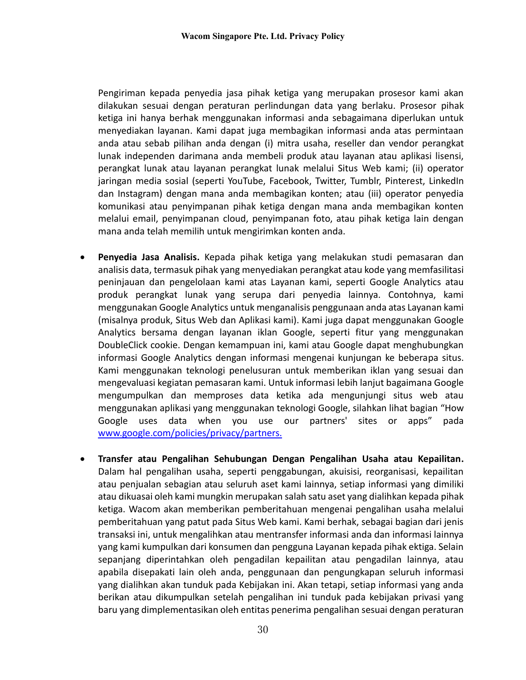Pengiriman kepada penyedia jasa pihak ketiga yang merupakan prosesor kami akan dilakukan sesuai dengan peraturan perlindungan data yang berlaku. Prosesor pihak ketiga ini hanya berhak menggunakan informasi anda sebagaimana diperlukan untuk menyediakan layanan. Kami dapat juga membagikan informasi anda atas permintaan anda atau sebab pilihan anda dengan (i) mitra usaha, reseller dan vendor perangkat lunak independen darimana anda membeli produk atau layanan atau aplikasi lisensi, perangkat lunak atau layanan perangkat lunak melalui Situs Web kami; (ii) operator jaringan media sosial (seperti YouTube, Facebook, Twitter, Tumblr, Pinterest, LinkedIn dan Instagram) dengan mana anda membagikan konten; atau (iii) operator penyedia komunikasi atau penyimpanan pihak ketiga dengan mana anda membagikan konten melalui email, penyimpanan cloud, penyimpanan foto, atau pihak ketiga lain dengan mana anda telah memilih untuk mengirimkan konten anda.

- **Penyedia Jasa Analisis.** Kepada pihak ketiga yang melakukan studi pemasaran dan analisis data, termasuk pihak yang menyediakan perangkat atau kode yang memfasilitasi peninjauan dan pengelolaan kami atas Layanan kami, seperti Google Analytics atau produk perangkat lunak yang serupa dari penyedia lainnya. Contohnya, kami menggunakan Google Analytics untuk menganalisis penggunaan anda atas Layanan kami (misalnya produk, Situs Web dan Aplikasi kami). Kami juga dapat menggunakan Google Analytics bersama dengan layanan iklan Google, seperti fitur yang menggunakan DoubleClick cookie. Dengan kemampuan ini, kami atau Google dapat menghubungkan informasi Google Analytics dengan informasi mengenai kunjungan ke beberapa situs. Kami menggunakan teknologi penelusuran untuk memberikan iklan yang sesuai dan mengevaluasi kegiatan pemasaran kami. Untuk informasi lebih lanjut bagaimana Google mengumpulkan dan memproses data ketika ada mengunjungi situs web atau menggunakan aplikasi yang menggunakan teknologi Google, silahkan lihat bagian "How Google uses data when you use our partners' sites or apps" pada [www.google.com/policies/privacy/partners.](http://www.google.com/policies/privacy/partners)
- **Transfer atau Pengalihan Sehubungan Dengan Pengalihan Usaha atau Kepailitan.** Dalam hal pengalihan usaha, seperti penggabungan, akuisisi, reorganisasi, kepailitan atau penjualan sebagian atau seluruh aset kami lainnya, setiap informasi yang dimiliki atau dikuasai oleh kami mungkin merupakan salah satu aset yang dialihkan kepada pihak ketiga. Wacom akan memberikan pemberitahuan mengenai pengalihan usaha melalui pemberitahuan yang patut pada Situs Web kami. Kami berhak, sebagai bagian dari jenis transaksi ini, untuk mengalihkan atau mentransfer informasi anda dan informasi lainnya yang kami kumpulkan dari konsumen dan pengguna Layanan kepada pihak ektiga. Selain sepanjang diperintahkan oleh pengadilan kepailitan atau pengadilan lainnya, atau apabila disepakati lain oleh anda, penggunaan dan pengungkapan seluruh informasi yang dialihkan akan tunduk pada Kebijakan ini. Akan tetapi, setiap informasi yang anda berikan atau dikumpulkan setelah pengalihan ini tunduk pada kebijakan privasi yang baru yang dimplementasikan oleh entitas penerima pengalihan sesuai dengan peraturan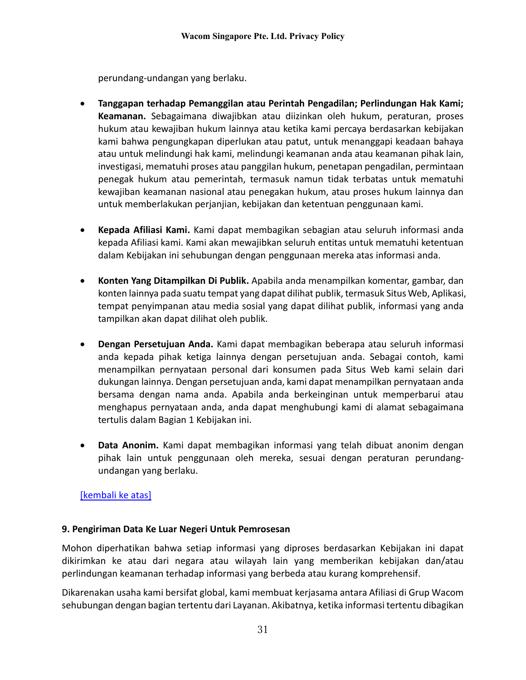perundang-undangan yang berlaku.

- **Tanggapan terhadap Pemanggilan atau Perintah Pengadilan; Perlindungan Hak Kami; Keamanan.** Sebagaimana diwajibkan atau diizinkan oleh hukum, peraturan, proses hukum atau kewajiban hukum lainnya atau ketika kami percaya berdasarkan kebijakan kami bahwa pengungkapan diperlukan atau patut, untuk menanggapi keadaan bahaya atau untuk melindungi hak kami, melindungi keamanan anda atau keamanan pihak lain, investigasi, mematuhi proses atau panggilan hukum, penetapan pengadilan, permintaan penegak hukum atau pemerintah, termasuk namun tidak terbatas untuk mematuhi kewajiban keamanan nasional atau penegakan hukum, atau proses hukum lainnya dan untuk memberlakukan perjanjian, kebijakan dan ketentuan penggunaan kami.
- **Kepada Afiliasi Kami.** Kami dapat membagikan sebagian atau seluruh informasi anda kepada Afiliasi kami. Kami akan mewajibkan seluruh entitas untuk mematuhi ketentuan dalam Kebijakan ini sehubungan dengan penggunaan mereka atas informasi anda.
- **Konten Yang Ditampilkan Di Publik.** Apabila anda menampilkan komentar, gambar, dan konten lainnya pada suatu tempat yang dapat dilihat publik, termasuk Situs Web, Aplikasi, tempat penyimpanan atau media sosial yang dapat dilihat publik, informasi yang anda tampilkan akan dapat dilihat oleh publik.
- **Dengan Persetujuan Anda.** Kami dapat membagikan beberapa atau seluruh informasi anda kepada pihak ketiga lainnya dengan persetujuan anda. Sebagai contoh, kami menampilkan pernyataan personal dari konsumen pada Situs Web kami selain dari dukungan lainnya. Dengan persetujuan anda, kami dapat menampilkan pernyataan anda bersama dengan nama anda. Apabila anda berkeinginan untuk memperbarui atau menghapus pernyataan anda, anda dapat menghubungi kami di alamat sebagaimana tertulis dalam Bagian 1 Kebijakan ini.
- **Data Anonim.** Kami dapat membagikan informasi yang telah dibuat anonim dengan pihak lain untuk penggunaan oleh mereka, sesuai dengan peraturan perundangundangan yang berlaku.

## [\[kembali ke atas\]](#page-19-0)

#### <span id="page-30-0"></span>**9. Pengiriman Data Ke Luar Negeri Untuk Pemrosesan**

Mohon diperhatikan bahwa setiap informasi yang diproses berdasarkan Kebijakan ini dapat dikirimkan ke atau dari negara atau wilayah lain yang memberikan kebijakan dan/atau perlindungan keamanan terhadap informasi yang berbeda atau kurang komprehensif.

Dikarenakan usaha kami bersifat global, kami membuat kerjasama antara Afiliasi di Grup Wacom sehubungan dengan bagian tertentu dari Layanan. Akibatnya, ketika informasi tertentu dibagikan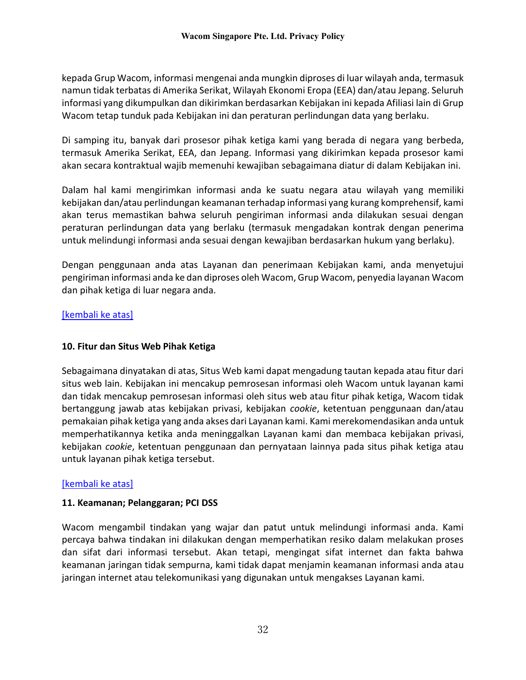kepada Grup Wacom, informasi mengenai anda mungkin diproses di luar wilayah anda, termasuk namun tidak terbatas di Amerika Serikat, Wilayah Ekonomi Eropa (EEA) dan/atau Jepang. Seluruh informasi yang dikumpulkan dan dikirimkan berdasarkan Kebijakan ini kepada Afiliasi lain di Grup Wacom tetap tunduk pada Kebijakan ini dan peraturan perlindungan data yang berlaku.

Di samping itu, banyak dari prosesor pihak ketiga kami yang berada di negara yang berbeda, termasuk Amerika Serikat, EEA, dan Jepang. Informasi yang dikirimkan kepada prosesor kami akan secara kontraktual wajib memenuhi kewajiban sebagaimana diatur di dalam Kebijakan ini.

Dalam hal kami mengirimkan informasi anda ke suatu negara atau wilayah yang memiliki kebijakan dan/atau perlindungan keamanan terhadap informasi yang kurang komprehensif, kami akan terus memastikan bahwa seluruh pengiriman informasi anda dilakukan sesuai dengan peraturan perlindungan data yang berlaku (termasuk mengadakan kontrak dengan penerima untuk melindungi informasi anda sesuai dengan kewajiban berdasarkan hukum yang berlaku).

Dengan penggunaan anda atas Layanan dan penerimaan Kebijakan kami, anda menyetujui pengiriman informasi anda ke dan diproses oleh Wacom, Grup Wacom, penyedia layanan Wacom dan pihak ketiga di luar negara anda.

# [\[kembali ke atas\]](#page-19-0)

# <span id="page-31-0"></span>**10. Fitur dan Situs Web Pihak Ketiga**

Sebagaimana dinyatakan di atas, Situs Web kami dapat mengadung tautan kepada atau fitur dari situs web lain. Kebijakan ini mencakup pemrosesan informasi oleh Wacom untuk layanan kami dan tidak mencakup pemrosesan informasi oleh situs web atau fitur pihak ketiga, Wacom tidak bertanggung jawab atas kebijakan privasi, kebijakan *cookie*, ketentuan penggunaan dan/atau pemakaian pihak ketiga yang anda akses dari Layanan kami. Kami merekomendasikan anda untuk memperhatikannya ketika anda meninggalkan Layanan kami dan membaca kebijakan privasi, kebijakan *cookie*, ketentuan penggunaan dan pernyataan lainnya pada situs pihak ketiga atau untuk layanan pihak ketiga tersebut.

## <span id="page-31-1"></span>[\[kembali ke atas\]](#page-19-0)

## **11. Keamanan; Pelanggaran; PCI DSS**

Wacom mengambil tindakan yang wajar dan patut untuk melindungi informasi anda. Kami percaya bahwa tindakan ini dilakukan dengan memperhatikan resiko dalam melakukan proses dan sifat dari informasi tersebut. Akan tetapi, mengingat sifat internet dan fakta bahwa keamanan jaringan tidak sempurna, kami tidak dapat menjamin keamanan informasi anda atau jaringan internet atau telekomunikasi yang digunakan untuk mengakses Layanan kami.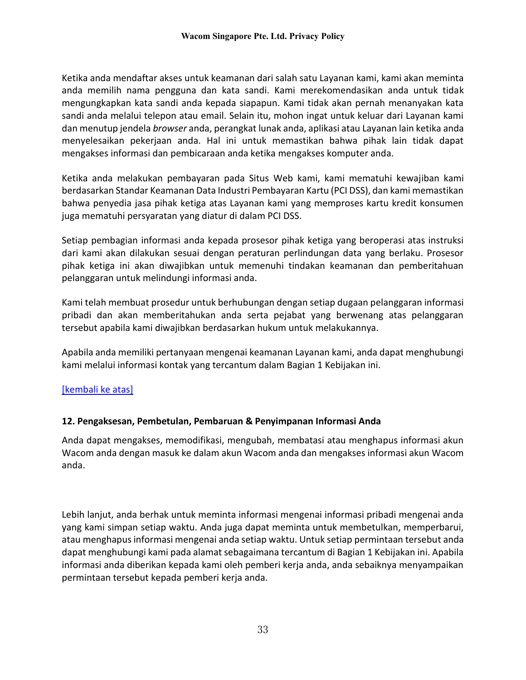Ketika anda mendaftar akses untuk keamanan dari salah satu Layanan kami, kami akan meminta anda memilih nama pengguna dan kata sandi. Kami merekomendasikan anda untuk tidak mengungkapkan kata sandi anda kepada siapapun. Kami tidak akan pernah menanyakan kata sandi anda melalui telepon atau email. Selain itu, mohon ingat untuk keluar dari Layanan kami dan menutup jendela *browser* anda, perangkat lunak anda, aplikasi atau Layanan lain ketika anda menyelesaikan pekerjaan anda. Hal ini untuk memastikan bahwa pihak lain tidak dapat mengakses informasi dan pembicaraan anda ketika mengakses komputer anda.

Ketika anda melakukan pembayaran pada Situs Web kami, kami mematuhi kewajiban kami berdasarkan Standar Keamanan Data Industri Pembayaran Kartu (PCI DSS), dan kami memastikan bahwa penyedia jasa pihak ketiga atas Layanan kami yang memproses kartu kredit konsumen juga mematuhi persyaratan yang diatur di dalam PCI DSS.

Setiap pembagian informasi anda kepada prosesor pihak ketiga yang beroperasi atas instruksi dari kami akan dilakukan sesuai dengan peraturan perlindungan data yang berlaku. Prosesor pihak ketiga ini akan diwajibkan untuk memenuhi tindakan keamanan dan pemberitahuan pelanggaran untuk melindungi informasi anda.

Kami telah membuat prosedur untuk berhubungan dengan setiap dugaan pelanggaran informasi pribadi dan akan memberitahukan anda serta pejabat yang berwenang atas pelanggaran tersebut apabila kami diwajibkan berdasarkan hukum untuk melakukannya.

Apabila anda memiliki pertanyaan mengenai keamanan Layanan kami, anda dapat menghubungi kami melalui informasi kontak yang tercantum dalam Bagian 1 Kebijakan ini.

## [\[kembali ke atas\]](#page-19-0)

## <span id="page-32-0"></span>**12. Pengaksesan, Pembetulan, Pembaruan & Penyimpanan Informasi Anda**

Anda dapat mengakses, memodifikasi, mengubah, membatasi atau menghapus informasi akun Wacom anda dengan masuk ke dalam akun Wacom anda dan mengakses informasi akun Wacom anda.

Lebih lanjut, anda berhak untuk meminta informasi mengenai informasi pribadi mengenai anda yang kami simpan setiap waktu. Anda juga dapat meminta untuk membetulkan, memperbarui, atau menghapus informasi mengenai anda setiap waktu. Untuk setiap permintaan tersebut anda dapat menghubungi kami pada alamat sebagaimana tercantum di Bagian 1 Kebijakan ini. Apabila informasi anda diberikan kepada kami oleh pemberi kerja anda, anda sebaiknya menyampaikan permintaan tersebut kepada pemberi kerja anda.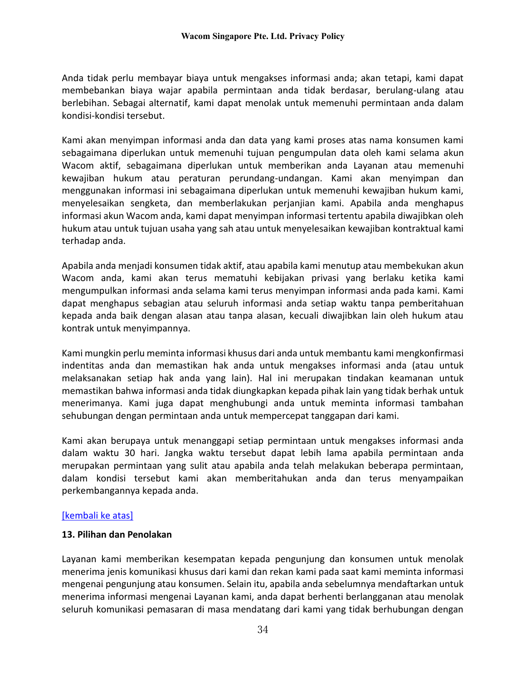Anda tidak perlu membayar biaya untuk mengakses informasi anda; akan tetapi, kami dapat membebankan biaya wajar apabila permintaan anda tidak berdasar, berulang-ulang atau berlebihan. Sebagai alternatif, kami dapat menolak untuk memenuhi permintaan anda dalam kondisi-kondisi tersebut.

Kami akan menyimpan informasi anda dan data yang kami proses atas nama konsumen kami sebagaimana diperlukan untuk memenuhi tujuan pengumpulan data oleh kami selama akun Wacom aktif, sebagaimana diperlukan untuk memberikan anda Layanan atau memenuhi kewajiban hukum atau peraturan perundang-undangan. Kami akan menyimpan dan menggunakan informasi ini sebagaimana diperlukan untuk memenuhi kewajiban hukum kami, menyelesaikan sengketa, dan memberlakukan perjanjian kami. Apabila anda menghapus informasi akun Wacom anda, kami dapat menyimpan informasi tertentu apabila diwajibkan oleh hukum atau untuk tujuan usaha yang sah atau untuk menyelesaikan kewajiban kontraktual kami terhadap anda.

Apabila anda menjadi konsumen tidak aktif, atau apabila kami menutup atau membekukan akun Wacom anda, kami akan terus mematuhi kebijakan privasi yang berlaku ketika kami mengumpulkan informasi anda selama kami terus menyimpan informasi anda pada kami. Kami dapat menghapus sebagian atau seluruh informasi anda setiap waktu tanpa pemberitahuan kepada anda baik dengan alasan atau tanpa alasan, kecuali diwajibkan lain oleh hukum atau kontrak untuk menyimpannya.

Kami mungkin perlu meminta informasi khusus dari anda untuk membantu kami mengkonfirmasi indentitas anda dan memastikan hak anda untuk mengakses informasi anda (atau untuk melaksanakan setiap hak anda yang lain). Hal ini merupakan tindakan keamanan untuk memastikan bahwa informasi anda tidak diungkapkan kepada pihak lain yang tidak berhak untuk menerimanya. Kami juga dapat menghubungi anda untuk meminta informasi tambahan sehubungan dengan permintaan anda untuk mempercepat tanggapan dari kami.

Kami akan berupaya untuk menanggapi setiap permintaan untuk mengakses informasi anda dalam waktu 30 hari. Jangka waktu tersebut dapat lebih lama apabila permintaan anda merupakan permintaan yang sulit atau apabila anda telah melakukan beberapa permintaan, dalam kondisi tersebut kami akan memberitahukan anda dan terus menyampaikan perkembangannya kepada anda.

#### <span id="page-33-0"></span>[\[kembali ke atas\]](#page-19-0)

#### **13. Pilihan dan Penolakan**

Layanan kami memberikan kesempatan kepada pengunjung dan konsumen untuk menolak menerima jenis komunikasi khusus dari kami dan rekan kami pada saat kami meminta informasi mengenai pengunjung atau konsumen. Selain itu, apabila anda sebelumnya mendaftarkan untuk menerima informasi mengenai Layanan kami, anda dapat berhenti berlangganan atau menolak seluruh komunikasi pemasaran di masa mendatang dari kami yang tidak berhubungan dengan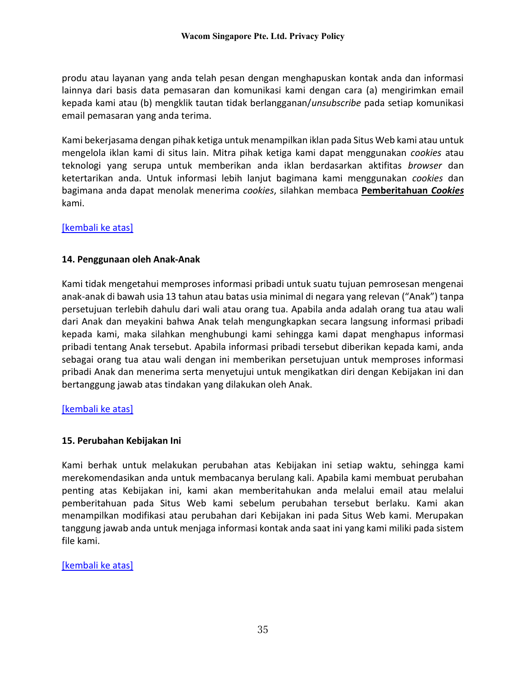produ atau layanan yang anda telah pesan dengan menghapuskan kontak anda dan informasi lainnya dari basis data pemasaran dan komunikasi kami dengan cara (a) mengirimkan email kepada kami atau (b) mengklik tautan tidak berlangganan/*unsubscribe* pada setiap komunikasi email pemasaran yang anda terima.

Kami bekerjasama dengan pihak ketiga untuk menampilkan iklan pada Situs Web kami atau untuk mengelola iklan kami di situs lain. Mitra pihak ketiga kami dapat menggunakan *cookies* atau teknologi yang serupa untuk memberikan anda iklan berdasarkan aktifitas *browser* dan ketertarikan anda. Untuk informasi lebih lanjut bagimana kami menggunakan *cookies* dan bagimana anda dapat menolak menerima *cookies*, silahkan membaca **Pemberitahuan** *Cookies* kami.

### [\[kembali ke atas\]](#page-19-0)

### <span id="page-34-0"></span>**14. Penggunaan oleh Anak-Anak**

Kami tidak mengetahui memproses informasi pribadi untuk suatu tujuan pemrosesan mengenai anak-anak di bawah usia 13 tahun atau batas usia minimal di negara yang relevan ("Anak") tanpa persetujuan terlebih dahulu dari wali atau orang tua. Apabila anda adalah orang tua atau wali dari Anak dan meyakini bahwa Anak telah mengungkapkan secara langsung informasi pribadi kepada kami, maka silahkan menghubungi kami sehingga kami dapat menghapus informasi pribadi tentang Anak tersebut. Apabila informasi pribadi tersebut diberikan kepada kami, anda sebagai orang tua atau wali dengan ini memberikan persetujuan untuk memproses informasi pribadi Anak dan menerima serta menyetujui untuk mengikatkan diri dengan Kebijakan ini dan bertanggung jawab atas tindakan yang dilakukan oleh Anak.

#### [\[kembali ke atas\]](#page-19-0)

## <span id="page-34-1"></span>**15. Perubahan Kebijakan Ini**

Kami berhak untuk melakukan perubahan atas Kebijakan ini setiap waktu, sehingga kami merekomendasikan anda untuk membacanya berulang kali. Apabila kami membuat perubahan penting atas Kebijakan ini, kami akan memberitahukan anda melalui email atau melalui pemberitahuan pada Situs Web kami sebelum perubahan tersebut berlaku. Kami akan menampilkan modifikasi atau perubahan dari Kebijakan ini pada Situs Web kami. Merupakan tanggung jawab anda untuk menjaga informasi kontak anda saat ini yang kami miliki pada sistem file kami.

#### [\[kembali ke atas\]](#page-19-0)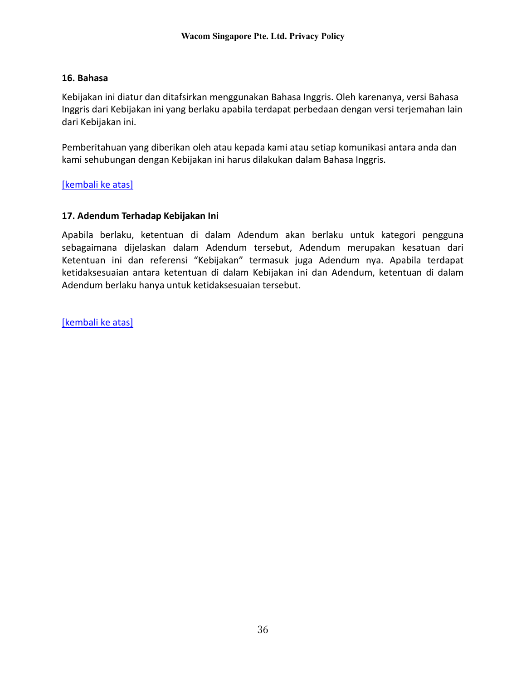### <span id="page-35-0"></span>**16. Bahasa**

Kebijakan ini diatur dan ditafsirkan menggunakan Bahasa Inggris. Oleh karenanya, versi Bahasa Inggris dari Kebijakan ini yang berlaku apabila terdapat perbedaan dengan versi terjemahan lain dari Kebijakan ini.

Pemberitahuan yang diberikan oleh atau kepada kami atau setiap komunikasi antara anda dan kami sehubungan dengan Kebijakan ini harus dilakukan dalam Bahasa Inggris.

[\[kembali ke atas\]](#page-19-0)

### <span id="page-35-1"></span>**17. Adendum Terhadap Kebijakan Ini**

Apabila berlaku, ketentuan di dalam Adendum akan berlaku untuk kategori pengguna sebagaimana dijelaskan dalam Adendum tersebut, Adendum merupakan kesatuan dari Ketentuan ini dan referensi "Kebijakan" termasuk juga Adendum nya. Apabila terdapat ketidaksesuaian antara ketentuan di dalam Kebijakan ini dan Adendum, ketentuan di dalam Adendum berlaku hanya untuk ketidaksesuaian tersebut.

[\[kembali ke atas\]](#page-19-0)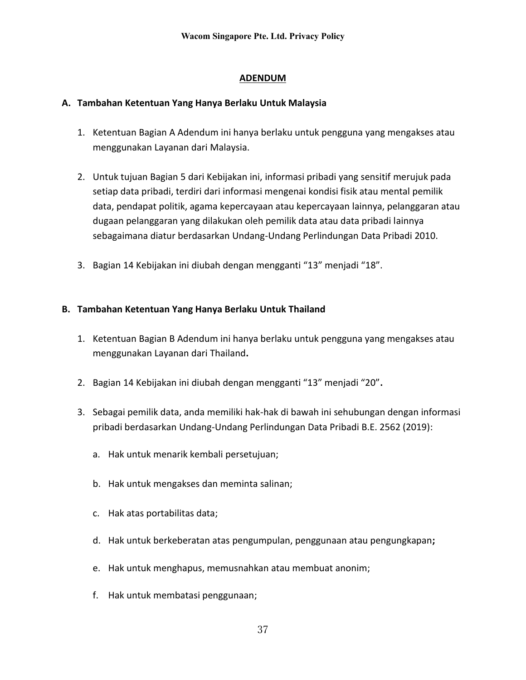# **ADENDUM**

## **A. Tambahan Ketentuan Yang Hanya Berlaku Untuk Malaysia**

- 1. Ketentuan Bagian A Adendum ini hanya berlaku untuk pengguna yang mengakses atau menggunakan Layanan dari Malaysia.
- 2. Untuk tujuan Bagian 5 dari Kebijakan ini, informasi pribadi yang sensitif merujuk pada setiap data pribadi, terdiri dari informasi mengenai kondisi fisik atau mental pemilik data, pendapat politik, agama kepercayaan atau kepercayaan lainnya, pelanggaran atau dugaan pelanggaran yang dilakukan oleh pemilik data atau data pribadi lainnya sebagaimana diatur berdasarkan Undang-Undang Perlindungan Data Pribadi 2010.
- 3. Bagian 14 Kebijakan ini diubah dengan mengganti "13" menjadi "18".

# **B. Tambahan Ketentuan Yang Hanya Berlaku Untuk Thailand**

- 1. Ketentuan Bagian B Adendum ini hanya berlaku untuk pengguna yang mengakses atau menggunakan Layanan dari Thailand**.**
- 2. Bagian 14 Kebijakan ini diubah dengan mengganti "13" menjadi "20"**.**
- 3. Sebagai pemilik data, anda memiliki hak-hak di bawah ini sehubungan dengan informasi pribadi berdasarkan Undang-Undang Perlindungan Data Pribadi B.E. 2562 (2019):
	- a. Hak untuk menarik kembali persetujuan;
	- b. Hak untuk mengakses dan meminta salinan;
	- c. Hak atas portabilitas data;
	- d. Hak untuk berkeberatan atas pengumpulan, penggunaan atau pengungkapan**;**
	- e. Hak untuk menghapus, memusnahkan atau membuat anonim;
	- f. Hak untuk membatasi penggunaan;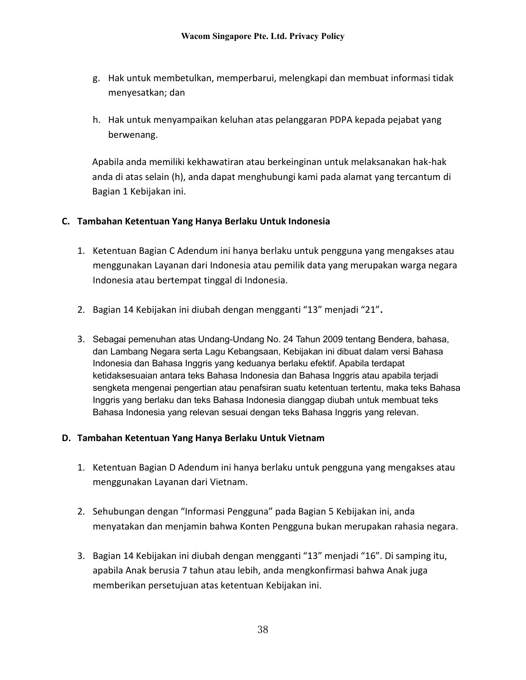- g. Hak untuk membetulkan, memperbarui, melengkapi dan membuat informasi tidak menyesatkan; dan
- h. Hak untuk menyampaikan keluhan atas pelanggaran PDPA kepada pejabat yang berwenang.

Apabila anda memiliki kekhawatiran atau berkeinginan untuk melaksanakan hak-hak anda di atas selain (h), anda dapat menghubungi kami pada alamat yang tercantum di Bagian 1 Kebijakan ini.

### **C. Tambahan Ketentuan Yang Hanya Berlaku Untuk Indonesia**

- 1. Ketentuan Bagian C Adendum ini hanya berlaku untuk pengguna yang mengakses atau menggunakan Layanan dari Indonesia atau pemilik data yang merupakan warga negara Indonesia atau bertempat tinggal di Indonesia.
- 2. Bagian 14 Kebijakan ini diubah dengan mengganti "13" menjadi "21"**.**
- 3. Sebagai pemenuhan atas Undang-Undang No. 24 Tahun 2009 tentang Bendera, bahasa, dan Lambang Negara serta Lagu Kebangsaan, Kebijakan ini dibuat dalam versi Bahasa Indonesia dan Bahasa Inggris yang keduanya berlaku efektif. Apabila terdapat ketidaksesuaian antara teks Bahasa Indonesia dan Bahasa Inggris atau apabila terjadi sengketa mengenai pengertian atau penafsiran suatu ketentuan tertentu, maka teks Bahasa Inggris yang berlaku dan teks Bahasa Indonesia dianggap diubah untuk membuat teks Bahasa Indonesia yang relevan sesuai dengan teks Bahasa Inggris yang relevan.

#### **D. Tambahan Ketentuan Yang Hanya Berlaku Untuk Vietnam**

- 1. Ketentuan Bagian D Adendum ini hanya berlaku untuk pengguna yang mengakses atau menggunakan Layanan dari Vietnam.
- 2. Sehubungan dengan "Informasi Pengguna" pada Bagian 5 Kebijakan ini, anda menyatakan dan menjamin bahwa Konten Pengguna bukan merupakan rahasia negara.
- 3. Bagian 14 Kebijakan ini diubah dengan mengganti "13" menjadi "16". Di samping itu, apabila Anak berusia 7 tahun atau lebih, anda mengkonfirmasi bahwa Anak juga memberikan persetujuan atas ketentuan Kebijakan ini.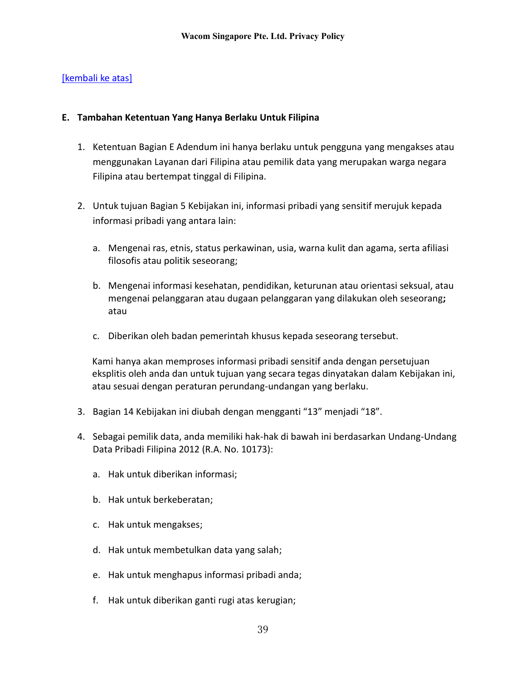## [kembali ke atas]

### **E. Tambahan Ketentuan Yang Hanya Berlaku Untuk Filipina**

- 1. Ketentuan Bagian E Adendum ini hanya berlaku untuk pengguna yang mengakses atau menggunakan Layanan dari Filipina atau pemilik data yang merupakan warga negara Filipina atau bertempat tinggal di Filipina.
- 2. Untuk tujuan Bagian 5 Kebijakan ini, informasi pribadi yang sensitif merujuk kepada informasi pribadi yang antara lain:
	- a. Mengenai ras, etnis, status perkawinan, usia, warna kulit dan agama, serta afiliasi filosofis atau politik seseorang;
	- b. Mengenai informasi kesehatan, pendidikan, keturunan atau orientasi seksual, atau mengenai pelanggaran atau dugaan pelanggaran yang dilakukan oleh seseorang**;** atau
	- c. Diberikan oleh badan pemerintah khusus kepada seseorang tersebut.

Kami hanya akan memproses informasi pribadi sensitif anda dengan persetujuan eksplitis oleh anda dan untuk tujuan yang secara tegas dinyatakan dalam Kebijakan ini, atau sesuai dengan peraturan perundang-undangan yang berlaku.

- 3. Bagian 14 Kebijakan ini diubah dengan mengganti "13" menjadi "18".
- 4. Sebagai pemilik data, anda memiliki hak-hak di bawah ini berdasarkan Undang-Undang Data Pribadi Filipina 2012 (R.A. No. 10173):
	- a. Hak untuk diberikan informasi;
	- b. Hak untuk berkeberatan;
	- c. Hak untuk mengakses;
	- d. Hak untuk membetulkan data yang salah;
	- e. Hak untuk menghapus informasi pribadi anda;
	- f. Hak untuk diberikan ganti rugi atas kerugian;